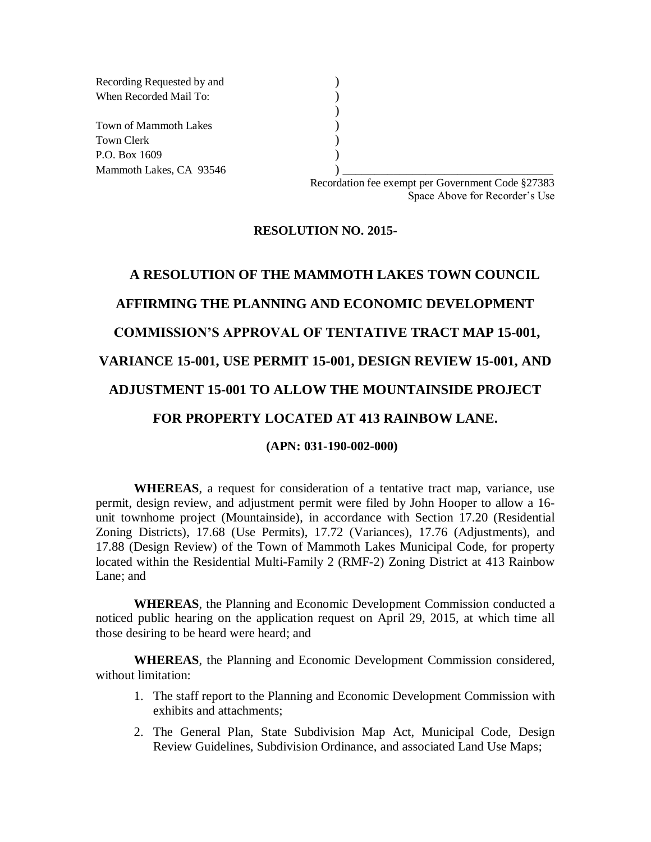Recording Requested by and () When Recorded Mail To: (a) Town of Mammoth Lakes (a) Town Clerk (1988) P.O. Box 1609 (a) Mammoth Lakes, CA 93546 (2003)

> Recordation fee exempt per Government Code §27383 Space Above for Recorder's Use

#### **RESOLUTION NO. 2015-**

)

# **A RESOLUTION OF THE MAMMOTH LAKES TOWN COUNCIL AFFIRMING THE PLANNING AND ECONOMIC DEVELOPMENT COMMISSION'S APPROVAL OF TENTATIVE TRACT MAP 15-001, VARIANCE 15-001, USE PERMIT 15-001, DESIGN REVIEW 15-001, AND ADJUSTMENT 15-001 TO ALLOW THE MOUNTAINSIDE PROJECT FOR PROPERTY LOCATED AT 413 RAINBOW LANE.**

#### **(APN: 031-190-002-000)**

**WHEREAS**, a request for consideration of a tentative tract map, variance, use permit, design review, and adjustment permit were filed by John Hooper to allow a 16 unit townhome project (Mountainside), in accordance with Section 17.20 (Residential Zoning Districts), 17.68 (Use Permits), 17.72 (Variances), 17.76 (Adjustments), and 17.88 (Design Review) of the Town of Mammoth Lakes Municipal Code, for property located within the Residential Multi-Family 2 (RMF-2) Zoning District at 413 Rainbow Lane; and

**WHEREAS**, the Planning and Economic Development Commission conducted a noticed public hearing on the application request on April 29, 2015, at which time all those desiring to be heard were heard; and

**WHEREAS**, the Planning and Economic Development Commission considered, without limitation:

- 1. The staff report to the Planning and Economic Development Commission with exhibits and attachments;
- 2. The General Plan, State Subdivision Map Act, Municipal Code, Design Review Guidelines, Subdivision Ordinance, and associated Land Use Maps;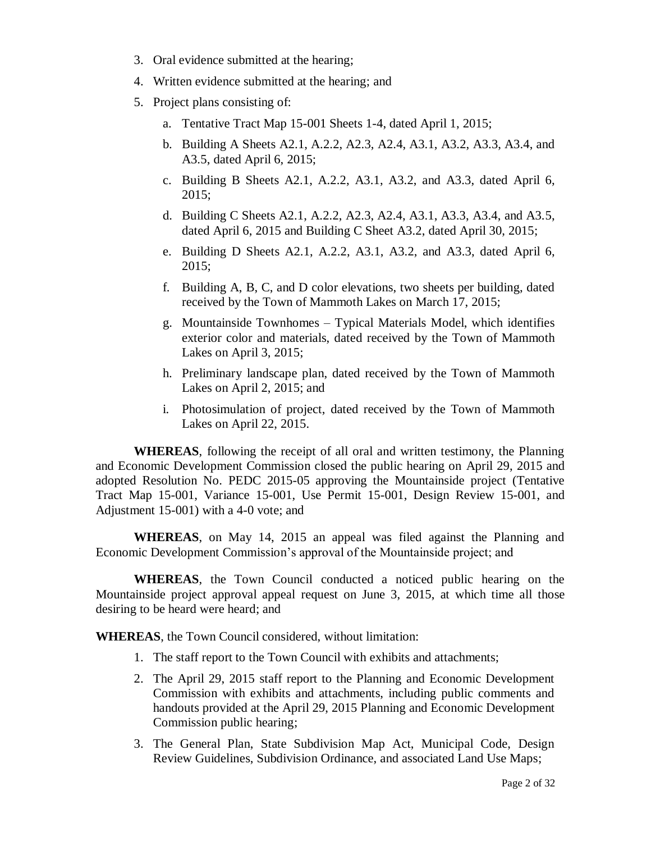- 3. Oral evidence submitted at the hearing;
- 4. Written evidence submitted at the hearing; and
- 5. Project plans consisting of:
	- a. Tentative Tract Map 15-001 Sheets 1-4, dated April 1, 2015;
	- b. Building A Sheets A2.1, A.2.2, A2.3, A2.4, A3.1, A3.2, A3.3, A3.4, and A3.5, dated April 6, 2015;
	- c. Building B Sheets A2.1, A.2.2, A3.1, A3.2, and A3.3, dated April 6, 2015;
	- d. Building C Sheets A2.1, A.2.2, A2.3, A2.4, A3.1, A3.3, A3.4, and A3.5, dated April 6, 2015 and Building C Sheet A3.2, dated April 30, 2015;
	- e. Building D Sheets A2.1, A.2.2, A3.1, A3.2, and A3.3, dated April 6, 2015;
	- f. Building A, B, C, and D color elevations, two sheets per building, dated received by the Town of Mammoth Lakes on March 17, 2015;
	- g. Mountainside Townhomes Typical Materials Model, which identifies exterior color and materials, dated received by the Town of Mammoth Lakes on April 3, 2015;
	- h. Preliminary landscape plan, dated received by the Town of Mammoth Lakes on April 2, 2015; and
	- i. Photosimulation of project, dated received by the Town of Mammoth Lakes on April 22, 2015.

**WHEREAS**, following the receipt of all oral and written testimony, the Planning and Economic Development Commission closed the public hearing on April 29, 2015 and adopted Resolution No. PEDC 2015-05 approving the Mountainside project (Tentative Tract Map 15-001, Variance 15-001, Use Permit 15-001, Design Review 15-001, and Adjustment 15-001) with a 4-0 vote; and

**WHEREAS**, on May 14, 2015 an appeal was filed against the Planning and Economic Development Commission's approval of the Mountainside project; and

**WHEREAS**, the Town Council conducted a noticed public hearing on the Mountainside project approval appeal request on June 3, 2015, at which time all those desiring to be heard were heard; and

**WHEREAS**, the Town Council considered, without limitation:

- 1. The staff report to the Town Council with exhibits and attachments;
- 2. The April 29, 2015 staff report to the Planning and Economic Development Commission with exhibits and attachments, including public comments and handouts provided at the April 29, 2015 Planning and Economic Development Commission public hearing;
- 3. The General Plan, State Subdivision Map Act, Municipal Code, Design Review Guidelines, Subdivision Ordinance, and associated Land Use Maps;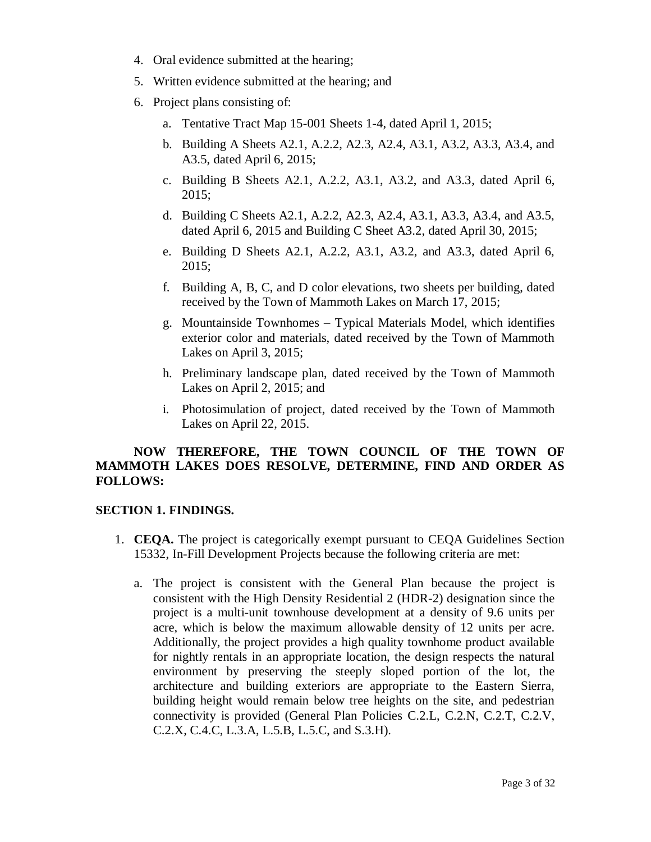- 4. Oral evidence submitted at the hearing;
- 5. Written evidence submitted at the hearing; and
- 6. Project plans consisting of:
	- a. Tentative Tract Map 15-001 Sheets 1-4, dated April 1, 2015;
	- b. Building A Sheets A2.1, A.2.2, A2.3, A2.4, A3.1, A3.2, A3.3, A3.4, and A3.5, dated April 6, 2015;
	- c. Building B Sheets A2.1, A.2.2, A3.1, A3.2, and A3.3, dated April 6, 2015;
	- d. Building C Sheets A2.1, A.2.2, A2.3, A2.4, A3.1, A3.3, A3.4, and A3.5, dated April 6, 2015 and Building C Sheet A3.2, dated April 30, 2015;
	- e. Building D Sheets A2.1, A.2.2, A3.1, A3.2, and A3.3, dated April 6, 2015;
	- f. Building A, B, C, and D color elevations, two sheets per building, dated received by the Town of Mammoth Lakes on March 17, 2015;
	- g. Mountainside Townhomes Typical Materials Model, which identifies exterior color and materials, dated received by the Town of Mammoth Lakes on April 3, 2015;
	- h. Preliminary landscape plan, dated received by the Town of Mammoth Lakes on April 2, 2015; and
	- i. Photosimulation of project, dated received by the Town of Mammoth Lakes on April 22, 2015.

# **NOW THEREFORE, THE TOWN COUNCIL OF THE TOWN OF MAMMOTH LAKES DOES RESOLVE, DETERMINE, FIND AND ORDER AS FOLLOWS:**

#### **SECTION 1. FINDINGS.**

- 1. **CEQA.** The project is categorically exempt pursuant to CEQA Guidelines Section 15332, In-Fill Development Projects because the following criteria are met:
	- a. The project is consistent with the General Plan because the project is consistent with the High Density Residential 2 (HDR-2) designation since the project is a multi-unit townhouse development at a density of 9.6 units per acre, which is below the maximum allowable density of 12 units per acre. Additionally, the project provides a high quality townhome product available for nightly rentals in an appropriate location, the design respects the natural environment by preserving the steeply sloped portion of the lot, the architecture and building exteriors are appropriate to the Eastern Sierra, building height would remain below tree heights on the site, and pedestrian connectivity is provided (General Plan Policies C.2.L, C.2.N, C.2.T, C.2.V, C.2.X, C.4.C, L.3.A, L.5.B, L.5.C, and S.3.H).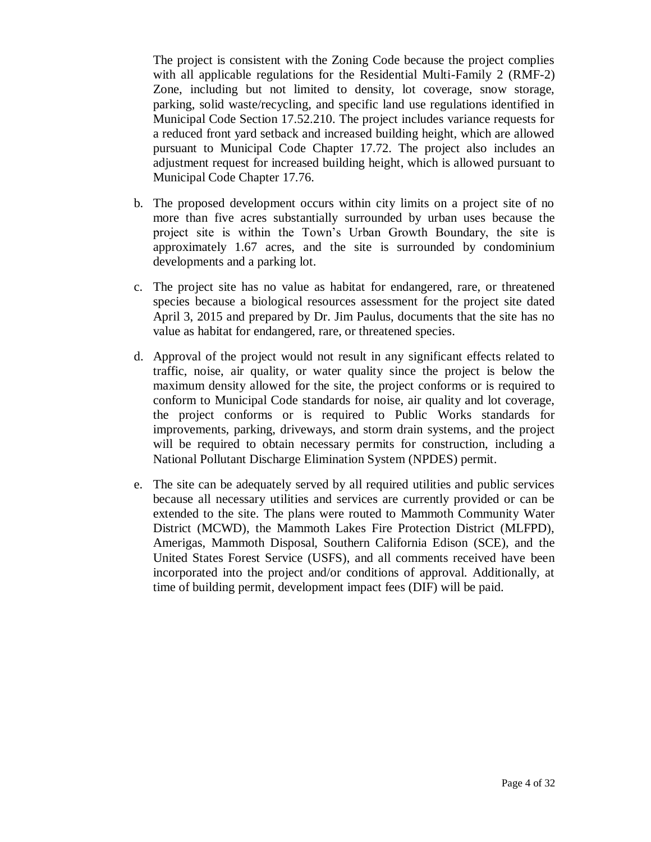The project is consistent with the Zoning Code because the project complies with all applicable regulations for the Residential Multi-Family 2 (RMF-2) Zone, including but not limited to density, lot coverage, snow storage, parking, solid waste/recycling, and specific land use regulations identified in Municipal Code Section 17.52.210. The project includes variance requests for a reduced front yard setback and increased building height, which are allowed pursuant to Municipal Code Chapter 17.72. The project also includes an adjustment request for increased building height, which is allowed pursuant to Municipal Code Chapter 17.76.

- b. The proposed development occurs within city limits on a project site of no more than five acres substantially surrounded by urban uses because the project site is within the Town's Urban Growth Boundary, the site is approximately 1.67 acres, and the site is surrounded by condominium developments and a parking lot.
- c. The project site has no value as habitat for endangered, rare, or threatened species because a biological resources assessment for the project site dated April 3, 2015 and prepared by Dr. Jim Paulus, documents that the site has no value as habitat for endangered, rare, or threatened species.
- d. Approval of the project would not result in any significant effects related to traffic, noise, air quality, or water quality since the project is below the maximum density allowed for the site, the project conforms or is required to conform to Municipal Code standards for noise, air quality and lot coverage, the project conforms or is required to Public Works standards for improvements, parking, driveways, and storm drain systems, and the project will be required to obtain necessary permits for construction, including a National Pollutant Discharge Elimination System (NPDES) permit.
- e. The site can be adequately served by all required utilities and public services because all necessary utilities and services are currently provided or can be extended to the site. The plans were routed to Mammoth Community Water District (MCWD), the Mammoth Lakes Fire Protection District (MLFPD), Amerigas, Mammoth Disposal, Southern California Edison (SCE), and the United States Forest Service (USFS), and all comments received have been incorporated into the project and/or conditions of approval. Additionally, at time of building permit, development impact fees (DIF) will be paid.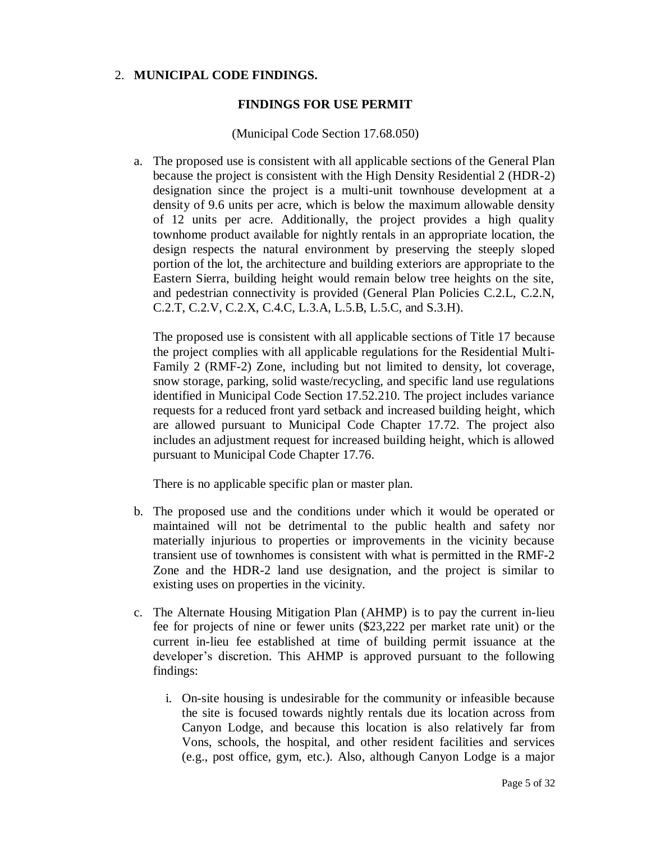### 2. **MUNICIPAL CODE FINDINGS.**

#### **FINDINGS FOR USE PERMIT**

#### (Municipal Code Section 17.68.050)

a. The proposed use is consistent with all applicable sections of the General Plan because the project is consistent with the High Density Residential 2 (HDR-2) designation since the project is a multi-unit townhouse development at a density of 9.6 units per acre, which is below the maximum allowable density of 12 units per acre. Additionally, the project provides a high quality townhome product available for nightly rentals in an appropriate location, the design respects the natural environment by preserving the steeply sloped portion of the lot, the architecture and building exteriors are appropriate to the Eastern Sierra, building height would remain below tree heights on the site, and pedestrian connectivity is provided (General Plan Policies C.2.L, C.2.N, C.2.T, C.2.V, C.2.X, C.4.C, L.3.A, L.5.B, L.5.C, and S.3.H).

The proposed use is consistent with all applicable sections of Title 17 because the project complies with all applicable regulations for the Residential Multi-Family 2 (RMF-2) Zone, including but not limited to density, lot coverage, snow storage, parking, solid waste/recycling, and specific land use regulations identified in Municipal Code Section 17.52.210. The project includes variance requests for a reduced front yard setback and increased building height, which are allowed pursuant to Municipal Code Chapter 17.72. The project also includes an adjustment request for increased building height, which is allowed pursuant to Municipal Code Chapter 17.76.

There is no applicable specific plan or master plan.

- b. The proposed use and the conditions under which it would be operated or maintained will not be detrimental to the public health and safety nor materially injurious to properties or improvements in the vicinity because transient use of townhomes is consistent with what is permitted in the RMF-2 Zone and the HDR-2 land use designation, and the project is similar to existing uses on properties in the vicinity.
- c. The Alternate Housing Mitigation Plan (AHMP) is to pay the current in-lieu fee for projects of nine or fewer units (\$23,222 per market rate unit) or the current in-lieu fee established at time of building permit issuance at the developer's discretion. This AHMP is approved pursuant to the following findings:
	- i. On-site housing is undesirable for the community or infeasible because the site is focused towards nightly rentals due its location across from Canyon Lodge, and because this location is also relatively far from Vons, schools, the hospital, and other resident facilities and services (e.g., post office, gym, etc.). Also, although Canyon Lodge is a major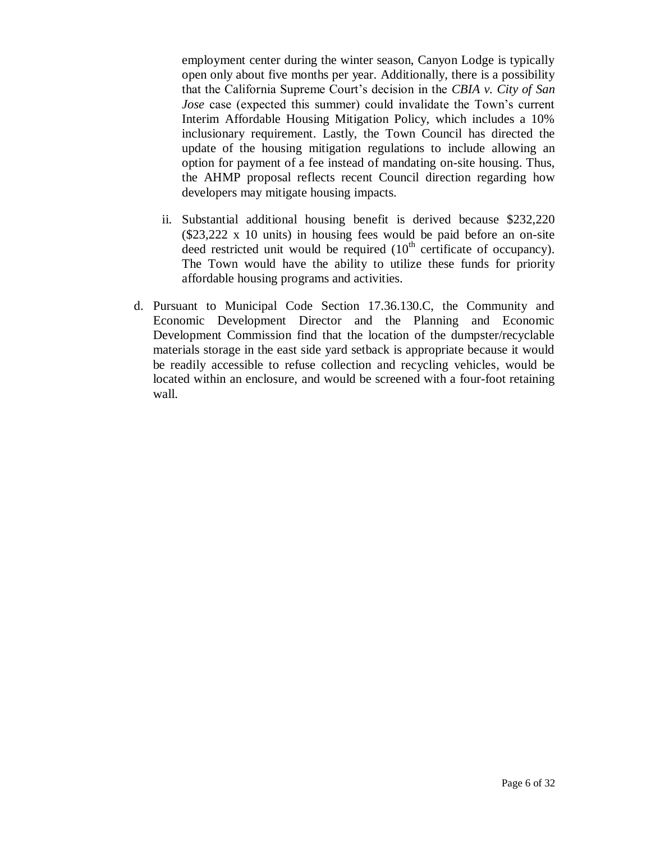employment center during the winter season, Canyon Lodge is typically open only about five months per year. Additionally, there is a possibility that the California Supreme Court's decision in the *CBIA v. City of San Jose* case (expected this summer) could invalidate the Town's current Interim Affordable Housing Mitigation Policy, which includes a 10% inclusionary requirement. Lastly, the Town Council has directed the update of the housing mitigation regulations to include allowing an option for payment of a fee instead of mandating on-site housing. Thus, the AHMP proposal reflects recent Council direction regarding how developers may mitigate housing impacts.

- ii. Substantial additional housing benefit is derived because \$232,220 (\$23,222 x 10 units) in housing fees would be paid before an on-site deed restricted unit would be required  $(10<sup>th</sup>$  certificate of occupancy). The Town would have the ability to utilize these funds for priority affordable housing programs and activities.
- d. Pursuant to Municipal Code Section 17.36.130.C, the Community and Economic Development Director and the Planning and Economic Development Commission find that the location of the dumpster/recyclable materials storage in the east side yard setback is appropriate because it would be readily accessible to refuse collection and recycling vehicles, would be located within an enclosure, and would be screened with a four-foot retaining wall.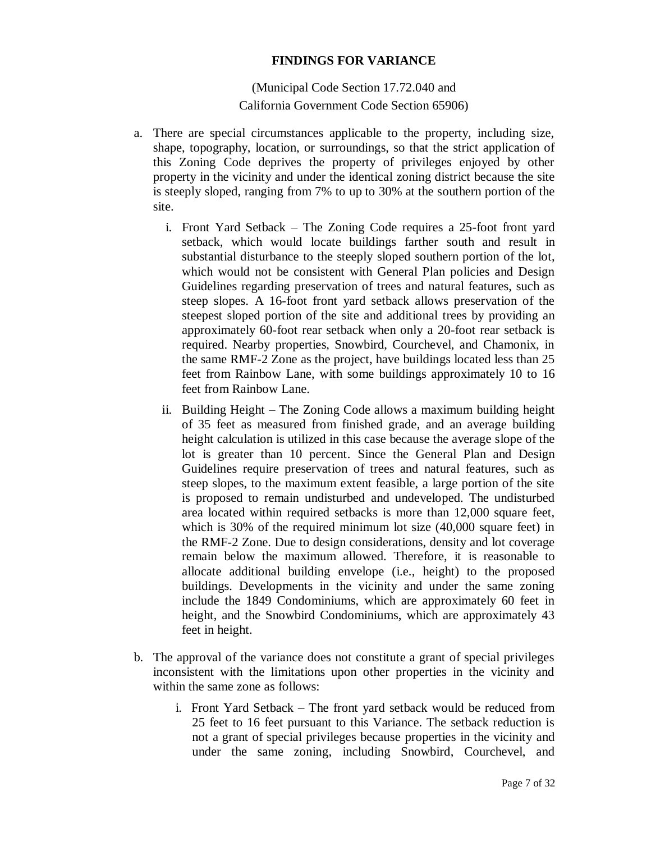#### **FINDINGS FOR VARIANCE**

(Municipal Code Section 17.72.040 and California Government Code Section 65906)

- a. There are special circumstances applicable to the property, including size, shape, topography, location, or surroundings, so that the strict application of this Zoning Code deprives the property of privileges enjoyed by other property in the vicinity and under the identical zoning district because the site is steeply sloped, ranging from 7% to up to 30% at the southern portion of the site.
	- i. Front Yard Setback The Zoning Code requires a 25-foot front yard setback, which would locate buildings farther south and result in substantial disturbance to the steeply sloped southern portion of the lot, which would not be consistent with General Plan policies and Design Guidelines regarding preservation of trees and natural features, such as steep slopes. A 16-foot front yard setback allows preservation of the steepest sloped portion of the site and additional trees by providing an approximately 60-foot rear setback when only a 20-foot rear setback is required. Nearby properties, Snowbird, Courchevel, and Chamonix, in the same RMF-2 Zone as the project, have buildings located less than 25 feet from Rainbow Lane, with some buildings approximately 10 to 16 feet from Rainbow Lane.
	- ii. Building Height The Zoning Code allows a maximum building height of 35 feet as measured from finished grade, and an average building height calculation is utilized in this case because the average slope of the lot is greater than 10 percent. Since the General Plan and Design Guidelines require preservation of trees and natural features, such as steep slopes, to the maximum extent feasible, a large portion of the site is proposed to remain undisturbed and undeveloped. The undisturbed area located within required setbacks is more than 12,000 square feet, which is 30% of the required minimum lot size (40,000 square feet) in the RMF-2 Zone. Due to design considerations, density and lot coverage remain below the maximum allowed. Therefore, it is reasonable to allocate additional building envelope (i.e., height) to the proposed buildings. Developments in the vicinity and under the same zoning include the 1849 Condominiums, which are approximately 60 feet in height, and the Snowbird Condominiums, which are approximately 43 feet in height.
- b. The approval of the variance does not constitute a grant of special privileges inconsistent with the limitations upon other properties in the vicinity and within the same zone as follows:
	- i. Front Yard Setback The front yard setback would be reduced from 25 feet to 16 feet pursuant to this Variance. The setback reduction is not a grant of special privileges because properties in the vicinity and under the same zoning, including Snowbird, Courchevel, and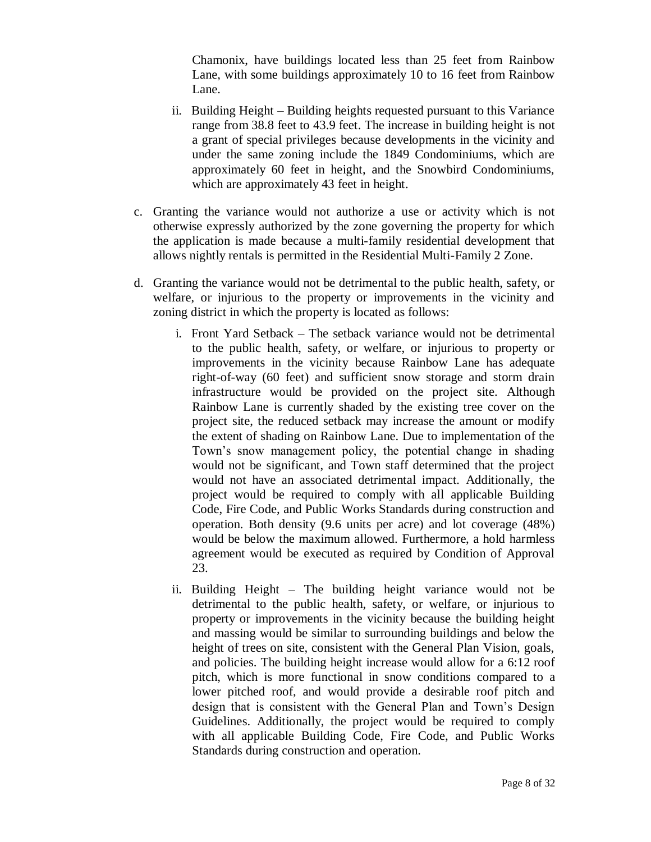Chamonix, have buildings located less than 25 feet from Rainbow Lane, with some buildings approximately 10 to 16 feet from Rainbow Lane.

- ii. Building Height Building heights requested pursuant to this Variance range from 38.8 feet to 43.9 feet. The increase in building height is not a grant of special privileges because developments in the vicinity and under the same zoning include the 1849 Condominiums, which are approximately 60 feet in height, and the Snowbird Condominiums, which are approximately 43 feet in height.
- c. Granting the variance would not authorize a use or activity which is not otherwise expressly authorized by the zone governing the property for which the application is made because a multi-family residential development that allows nightly rentals is permitted in the Residential Multi-Family 2 Zone.
- d. Granting the variance would not be detrimental to the public health, safety, or welfare, or injurious to the property or improvements in the vicinity and zoning district in which the property is located as follows:
	- i. Front Yard Setback The setback variance would not be detrimental to the public health, safety, or welfare, or injurious to property or improvements in the vicinity because Rainbow Lane has adequate right-of-way (60 feet) and sufficient snow storage and storm drain infrastructure would be provided on the project site. Although Rainbow Lane is currently shaded by the existing tree cover on the project site, the reduced setback may increase the amount or modify the extent of shading on Rainbow Lane. Due to implementation of the Town's snow management policy, the potential change in shading would not be significant, and Town staff determined that the project would not have an associated detrimental impact*.* Additionally, the project would be required to comply with all applicable Building Code, Fire Code, and Public Works Standards during construction and operation. Both density (9.6 units per acre) and lot coverage (48%) would be below the maximum allowed. Furthermore, a hold harmless agreement would be executed as required by Condition of Approval 23.
	- ii. Building Height The building height variance would not be detrimental to the public health, safety, or welfare, or injurious to property or improvements in the vicinity because the building height and massing would be similar to surrounding buildings and below the height of trees on site, consistent with the General Plan Vision, goals, and policies. The building height increase would allow for a 6:12 roof pitch, which is more functional in snow conditions compared to a lower pitched roof, and would provide a desirable roof pitch and design that is consistent with the General Plan and Town's Design Guidelines. Additionally, the project would be required to comply with all applicable Building Code, Fire Code, and Public Works Standards during construction and operation.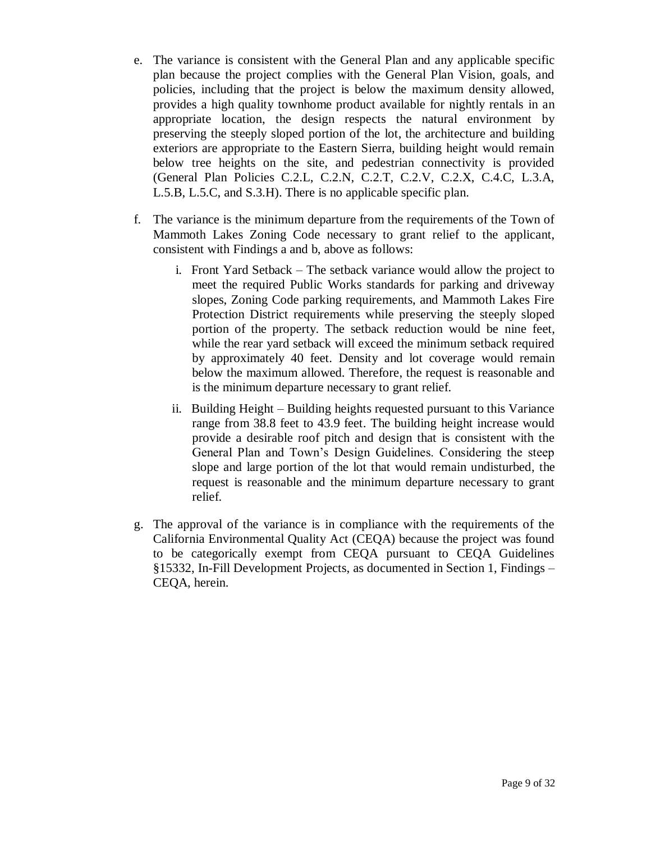- e. The variance is consistent with the General Plan and any applicable specific plan because the project complies with the General Plan Vision, goals, and policies, including that the project is below the maximum density allowed, provides a high quality townhome product available for nightly rentals in an appropriate location, the design respects the natural environment by preserving the steeply sloped portion of the lot, the architecture and building exteriors are appropriate to the Eastern Sierra, building height would remain below tree heights on the site, and pedestrian connectivity is provided (General Plan Policies C.2.L, C.2.N, C.2.T, C.2.V, C.2.X, C.4.C, L.3.A, L.5.B, L.5.C, and S.3.H). There is no applicable specific plan.
- f. The variance is the minimum departure from the requirements of the Town of Mammoth Lakes Zoning Code necessary to grant relief to the applicant, consistent with Findings a and b, above as follows:
	- i. Front Yard Setback The setback variance would allow the project to meet the required Public Works standards for parking and driveway slopes, Zoning Code parking requirements, and Mammoth Lakes Fire Protection District requirements while preserving the steeply sloped portion of the property. The setback reduction would be nine feet, while the rear yard setback will exceed the minimum setback required by approximately 40 feet. Density and lot coverage would remain below the maximum allowed. Therefore, the request is reasonable and is the minimum departure necessary to grant relief.
	- ii. Building Height Building heights requested pursuant to this Variance range from 38.8 feet to 43.9 feet. The building height increase would provide a desirable roof pitch and design that is consistent with the General Plan and Town's Design Guidelines. Considering the steep slope and large portion of the lot that would remain undisturbed, the request is reasonable and the minimum departure necessary to grant relief.
- g. The approval of the variance is in compliance with the requirements of the California Environmental Quality Act (CEQA) because the project was found to be categorically exempt from CEQA pursuant to CEQA Guidelines §15332, In-Fill Development Projects, as documented in Section 1, Findings – CEQA, herein.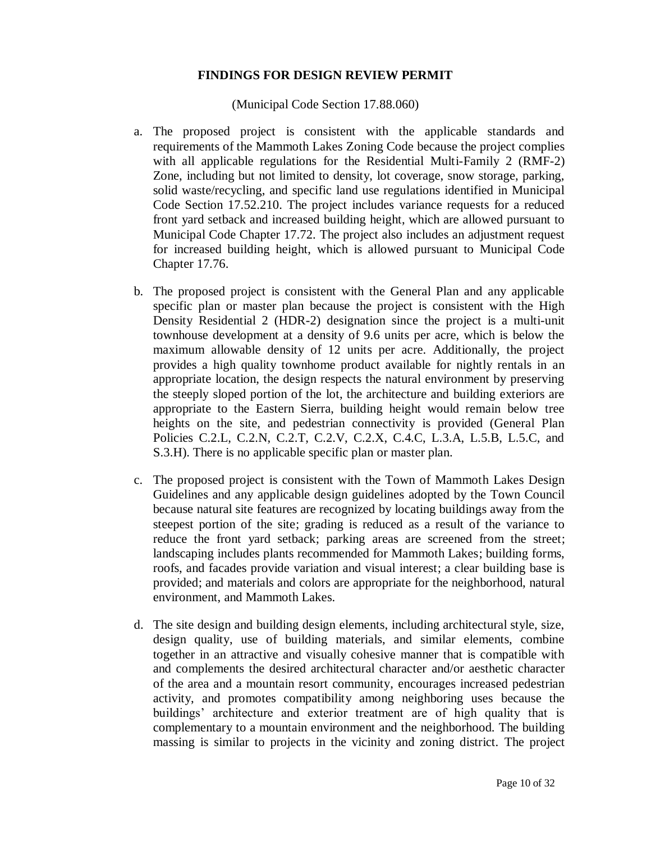#### **FINDINGS FOR DESIGN REVIEW PERMIT**

(Municipal Code Section 17.88.060)

- a. The proposed project is consistent with the applicable standards and requirements of the Mammoth Lakes Zoning Code because the project complies with all applicable regulations for the Residential Multi-Family 2 (RMF-2) Zone, including but not limited to density, lot coverage, snow storage, parking, solid waste/recycling, and specific land use regulations identified in Municipal Code Section 17.52.210. The project includes variance requests for a reduced front yard setback and increased building height, which are allowed pursuant to Municipal Code Chapter 17.72. The project also includes an adjustment request for increased building height, which is allowed pursuant to Municipal Code Chapter 17.76.
- b. The proposed project is consistent with the General Plan and any applicable specific plan or master plan because the project is consistent with the High Density Residential 2 (HDR-2) designation since the project is a multi-unit townhouse development at a density of 9.6 units per acre, which is below the maximum allowable density of 12 units per acre. Additionally, the project provides a high quality townhome product available for nightly rentals in an appropriate location, the design respects the natural environment by preserving the steeply sloped portion of the lot, the architecture and building exteriors are appropriate to the Eastern Sierra, building height would remain below tree heights on the site, and pedestrian connectivity is provided (General Plan Policies C.2.L, C.2.N, C.2.T, C.2.V, C.2.X, C.4.C, L.3.A, L.5.B, L.5.C, and S.3.H). There is no applicable specific plan or master plan.
- c. The proposed project is consistent with the Town of Mammoth Lakes Design Guidelines and any applicable design guidelines adopted by the Town Council because natural site features are recognized by locating buildings away from the steepest portion of the site; grading is reduced as a result of the variance to reduce the front yard setback; parking areas are screened from the street; landscaping includes plants recommended for Mammoth Lakes; building forms, roofs, and facades provide variation and visual interest; a clear building base is provided; and materials and colors are appropriate for the neighborhood, natural environment, and Mammoth Lakes.
- d. The site design and building design elements, including architectural style, size, design quality, use of building materials, and similar elements, combine together in an attractive and visually cohesive manner that is compatible with and complements the desired architectural character and/or aesthetic character of the area and a mountain resort community, encourages increased pedestrian activity, and promotes compatibility among neighboring uses because the buildings' architecture and exterior treatment are of high quality that is complementary to a mountain environment and the neighborhood. The building massing is similar to projects in the vicinity and zoning district. The project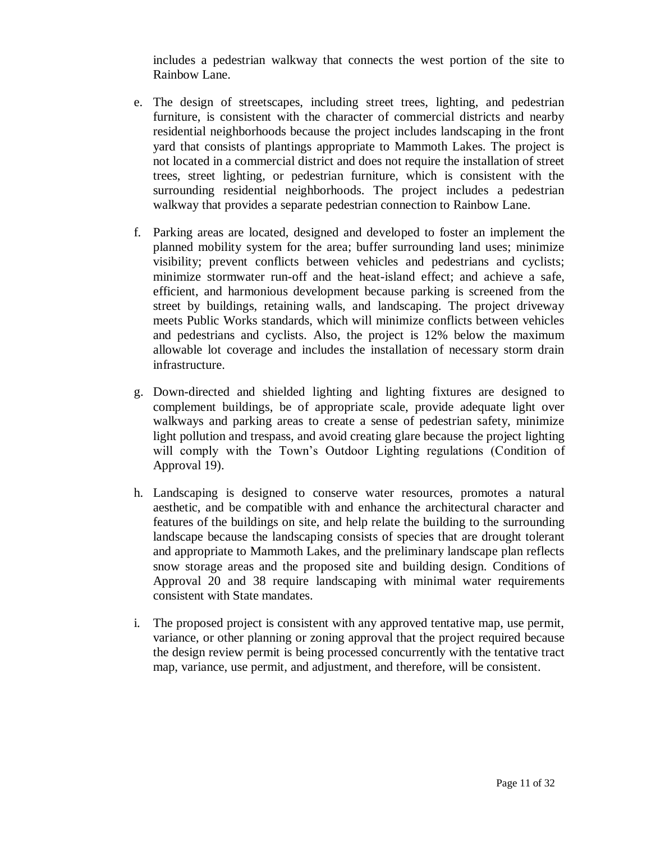includes a pedestrian walkway that connects the west portion of the site to Rainbow Lane.

- e. The design of streetscapes, including street trees, lighting, and pedestrian furniture, is consistent with the character of commercial districts and nearby residential neighborhoods because the project includes landscaping in the front yard that consists of plantings appropriate to Mammoth Lakes. The project is not located in a commercial district and does not require the installation of street trees, street lighting, or pedestrian furniture, which is consistent with the surrounding residential neighborhoods. The project includes a pedestrian walkway that provides a separate pedestrian connection to Rainbow Lane.
- f. Parking areas are located, designed and developed to foster an implement the planned mobility system for the area; buffer surrounding land uses; minimize visibility; prevent conflicts between vehicles and pedestrians and cyclists; minimize stormwater run-off and the heat-island effect; and achieve a safe, efficient, and harmonious development because parking is screened from the street by buildings, retaining walls, and landscaping. The project driveway meets Public Works standards, which will minimize conflicts between vehicles and pedestrians and cyclists. Also, the project is 12% below the maximum allowable lot coverage and includes the installation of necessary storm drain infrastructure.
- g. Down-directed and shielded lighting and lighting fixtures are designed to complement buildings, be of appropriate scale, provide adequate light over walkways and parking areas to create a sense of pedestrian safety, minimize light pollution and trespass, and avoid creating glare because the project lighting will comply with the Town's Outdoor Lighting regulations (Condition of Approval 19).
- h. Landscaping is designed to conserve water resources, promotes a natural aesthetic, and be compatible with and enhance the architectural character and features of the buildings on site, and help relate the building to the surrounding landscape because the landscaping consists of species that are drought tolerant and appropriate to Mammoth Lakes, and the preliminary landscape plan reflects snow storage areas and the proposed site and building design. Conditions of Approval 20 and 38 require landscaping with minimal water requirements consistent with State mandates.
- i. The proposed project is consistent with any approved tentative map, use permit, variance, or other planning or zoning approval that the project required because the design review permit is being processed concurrently with the tentative tract map, variance, use permit, and adjustment, and therefore, will be consistent.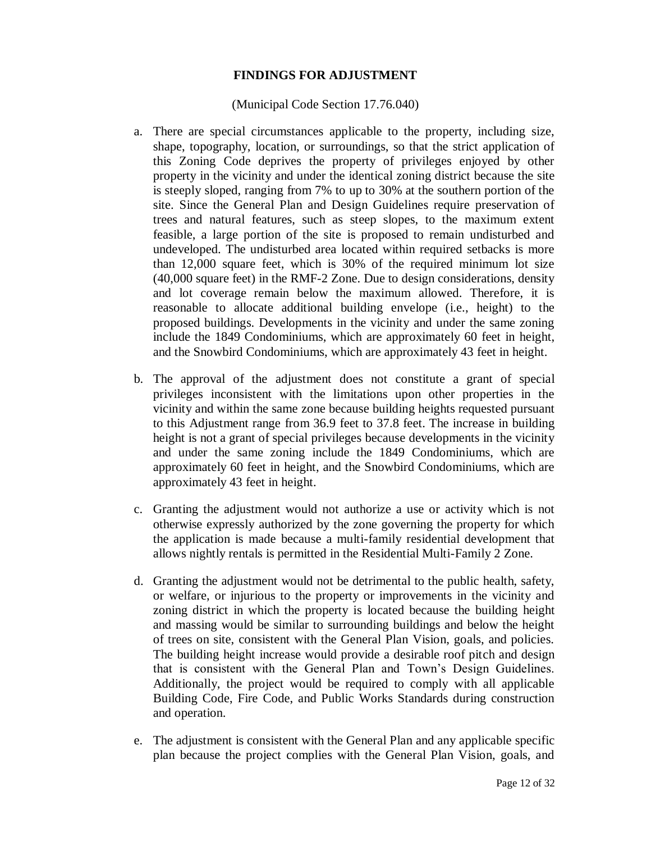# **FINDINGS FOR ADJUSTMENT**

#### (Municipal Code Section 17.76.040)

- a. There are special circumstances applicable to the property, including size, shape, topography, location, or surroundings, so that the strict application of this Zoning Code deprives the property of privileges enjoyed by other property in the vicinity and under the identical zoning district because the site is steeply sloped, ranging from 7% to up to 30% at the southern portion of the site. Since the General Plan and Design Guidelines require preservation of trees and natural features, such as steep slopes, to the maximum extent feasible, a large portion of the site is proposed to remain undisturbed and undeveloped. The undisturbed area located within required setbacks is more than 12,000 square feet, which is 30% of the required minimum lot size (40,000 square feet) in the RMF-2 Zone. Due to design considerations, density and lot coverage remain below the maximum allowed. Therefore, it is reasonable to allocate additional building envelope (i.e., height) to the proposed buildings. Developments in the vicinity and under the same zoning include the 1849 Condominiums, which are approximately 60 feet in height, and the Snowbird Condominiums, which are approximately 43 feet in height.
- b. The approval of the adjustment does not constitute a grant of special privileges inconsistent with the limitations upon other properties in the vicinity and within the same zone because building heights requested pursuant to this Adjustment range from 36.9 feet to 37.8 feet. The increase in building height is not a grant of special privileges because developments in the vicinity and under the same zoning include the 1849 Condominiums, which are approximately 60 feet in height, and the Snowbird Condominiums, which are approximately 43 feet in height.
- c. Granting the adjustment would not authorize a use or activity which is not otherwise expressly authorized by the zone governing the property for which the application is made because a multi-family residential development that allows nightly rentals is permitted in the Residential Multi-Family 2 Zone.
- d. Granting the adjustment would not be detrimental to the public health, safety, or welfare, or injurious to the property or improvements in the vicinity and zoning district in which the property is located because the building height and massing would be similar to surrounding buildings and below the height of trees on site, consistent with the General Plan Vision, goals, and policies. The building height increase would provide a desirable roof pitch and design that is consistent with the General Plan and Town's Design Guidelines. Additionally, the project would be required to comply with all applicable Building Code, Fire Code, and Public Works Standards during construction and operation.
- e. The adjustment is consistent with the General Plan and any applicable specific plan because the project complies with the General Plan Vision, goals, and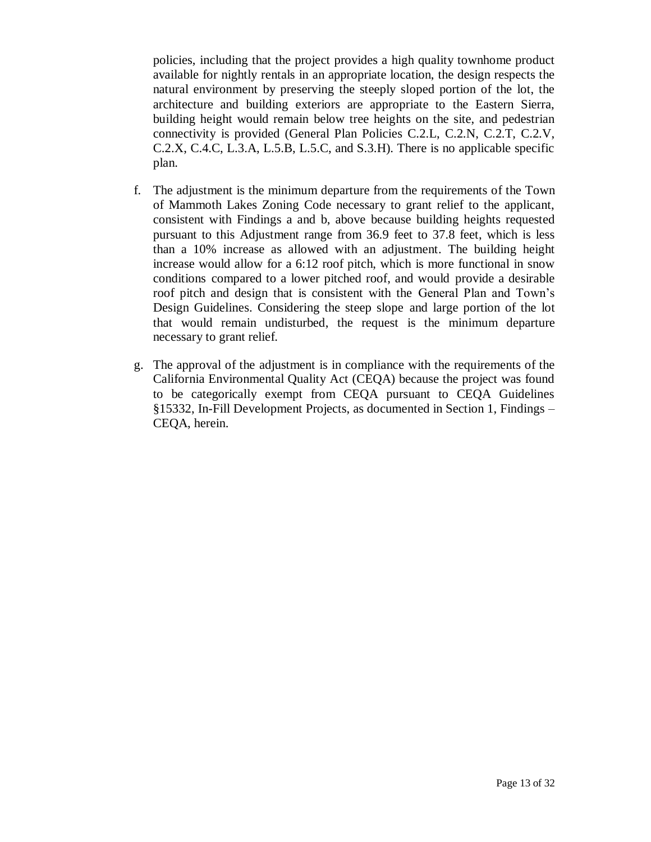policies, including that the project provides a high quality townhome product available for nightly rentals in an appropriate location, the design respects the natural environment by preserving the steeply sloped portion of the lot, the architecture and building exteriors are appropriate to the Eastern Sierra, building height would remain below tree heights on the site, and pedestrian connectivity is provided (General Plan Policies C.2.L, C.2.N, C.2.T, C.2.V, C.2.X, C.4.C, L.3.A, L.5.B, L.5.C, and S.3.H). There is no applicable specific plan.

- f. The adjustment is the minimum departure from the requirements of the Town of Mammoth Lakes Zoning Code necessary to grant relief to the applicant, consistent with Findings a and b, above because building heights requested pursuant to this Adjustment range from 36.9 feet to 37.8 feet, which is less than a 10% increase as allowed with an adjustment. The building height increase would allow for a 6:12 roof pitch, which is more functional in snow conditions compared to a lower pitched roof, and would provide a desirable roof pitch and design that is consistent with the General Plan and Town's Design Guidelines. Considering the steep slope and large portion of the lot that would remain undisturbed, the request is the minimum departure necessary to grant relief.
- g. The approval of the adjustment is in compliance with the requirements of the California Environmental Quality Act (CEQA) because the project was found to be categorically exempt from CEQA pursuant to CEQA Guidelines §15332, In-Fill Development Projects, as documented in Section 1, Findings – CEQA, herein.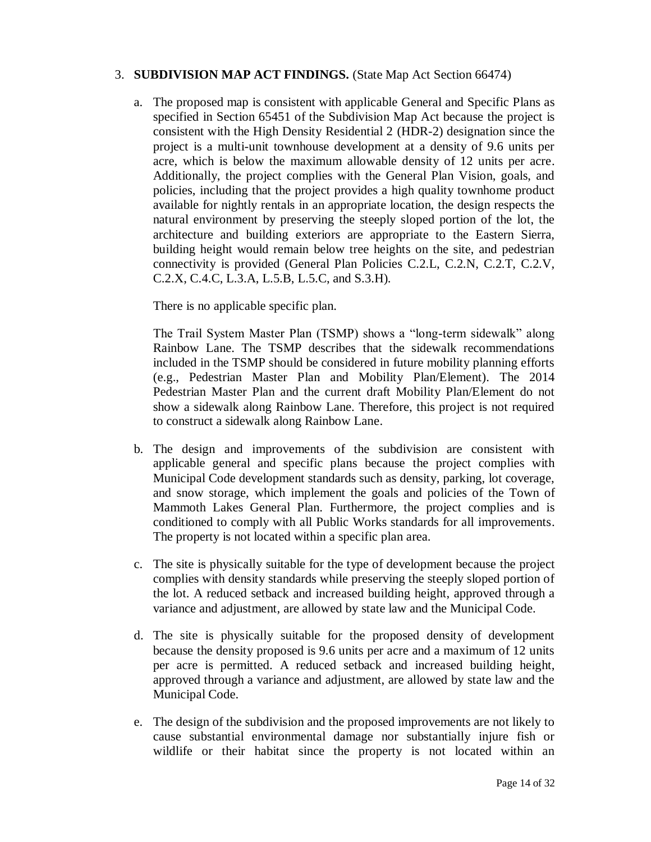## 3. **SUBDIVISION MAP ACT FINDINGS.** (State Map Act Section 66474)

a. The proposed map is consistent with applicable General and Specific Plans as specified in Section 65451 of the Subdivision Map Act because the project is consistent with the High Density Residential 2 (HDR-2) designation since the project is a multi-unit townhouse development at a density of 9.6 units per acre, which is below the maximum allowable density of 12 units per acre. Additionally, the project complies with the General Plan Vision, goals, and policies, including that the project provides a high quality townhome product available for nightly rentals in an appropriate location, the design respects the natural environment by preserving the steeply sloped portion of the lot, the architecture and building exteriors are appropriate to the Eastern Sierra, building height would remain below tree heights on the site, and pedestrian connectivity is provided (General Plan Policies C.2.L, C.2.N, C.2.T, C.2.V, C.2.X, C.4.C, L.3.A, L.5.B, L.5.C, and S.3.H).

There is no applicable specific plan.

The Trail System Master Plan (TSMP) shows a "long-term sidewalk" along Rainbow Lane. The TSMP describes that the sidewalk recommendations included in the TSMP should be considered in future mobility planning efforts (e.g., Pedestrian Master Plan and Mobility Plan/Element). The 2014 Pedestrian Master Plan and the current draft Mobility Plan/Element do not show a sidewalk along Rainbow Lane. Therefore, this project is not required to construct a sidewalk along Rainbow Lane.

- b. The design and improvements of the subdivision are consistent with applicable general and specific plans because the project complies with Municipal Code development standards such as density, parking, lot coverage, and snow storage, which implement the goals and policies of the Town of Mammoth Lakes General Plan. Furthermore, the project complies and is conditioned to comply with all Public Works standards for all improvements. The property is not located within a specific plan area.
- c. The site is physically suitable for the type of development because the project complies with density standards while preserving the steeply sloped portion of the lot. A reduced setback and increased building height, approved through a variance and adjustment, are allowed by state law and the Municipal Code.
- d. The site is physically suitable for the proposed density of development because the density proposed is 9.6 units per acre and a maximum of 12 units per acre is permitted. A reduced setback and increased building height, approved through a variance and adjustment, are allowed by state law and the Municipal Code.
- e. The design of the subdivision and the proposed improvements are not likely to cause substantial environmental damage nor substantially injure fish or wildlife or their habitat since the property is not located within an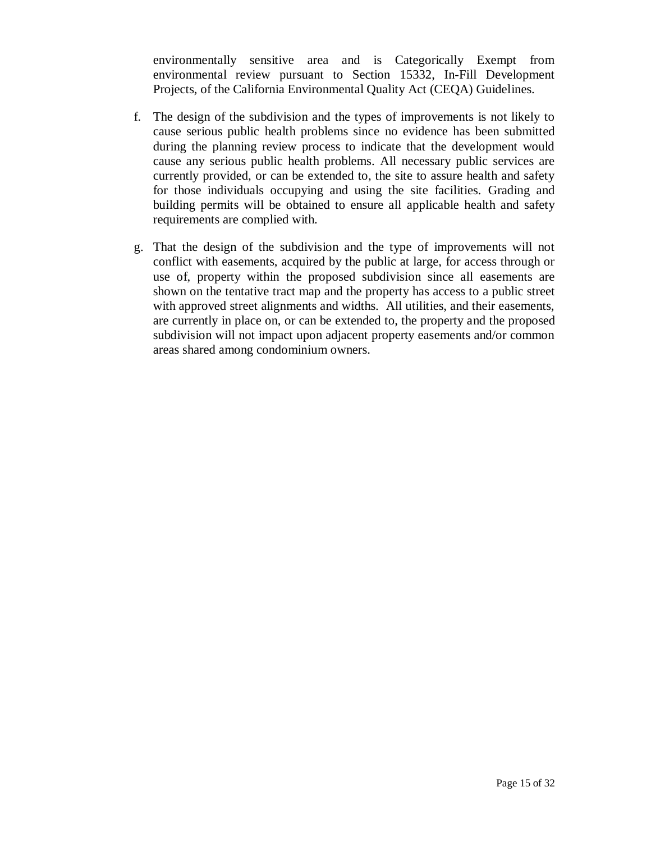environmentally sensitive area and is Categorically Exempt from environmental review pursuant to Section 15332, In-Fill Development Projects, of the California Environmental Quality Act (CEQA) Guidelines.

- f. The design of the subdivision and the types of improvements is not likely to cause serious public health problems since no evidence has been submitted during the planning review process to indicate that the development would cause any serious public health problems. All necessary public services are currently provided, or can be extended to, the site to assure health and safety for those individuals occupying and using the site facilities. Grading and building permits will be obtained to ensure all applicable health and safety requirements are complied with.
- g. That the design of the subdivision and the type of improvements will not conflict with easements, acquired by the public at large, for access through or use of, property within the proposed subdivision since all easements are shown on the tentative tract map and the property has access to a public street with approved street alignments and widths. All utilities, and their easements, are currently in place on, or can be extended to, the property and the proposed subdivision will not impact upon adjacent property easements and/or common areas shared among condominium owners.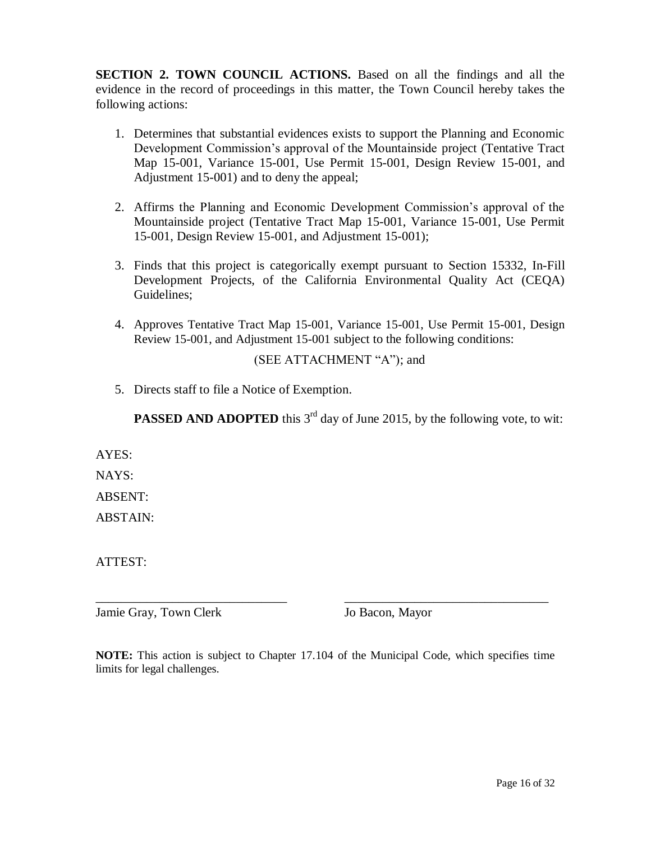**SECTION 2. TOWN COUNCIL ACTIONS.** Based on all the findings and all the evidence in the record of proceedings in this matter, the Town Council hereby takes the following actions:

- 1. Determines that substantial evidences exists to support the Planning and Economic Development Commission's approval of the Mountainside project (Tentative Tract Map 15-001, Variance 15-001, Use Permit 15-001, Design Review 15-001, and Adjustment 15-001) and to deny the appeal;
- 2. Affirms the Planning and Economic Development Commission's approval of the Mountainside project (Tentative Tract Map 15-001, Variance 15-001, Use Permit 15-001, Design Review 15-001, and Adjustment 15-001);
- 3. Finds that this project is categorically exempt pursuant to Section 15332, In-Fill Development Projects, of the California Environmental Quality Act (CEQA) Guidelines;
- 4. Approves Tentative Tract Map 15-001, Variance 15-001, Use Permit 15-001, Design Review 15-001, and Adjustment 15-001 subject to the following conditions:

# (SEE ATTACHMENT "A"); and

5. Directs staff to file a Notice of Exemption.

**PASSED AND ADOPTED** this  $3<sup>rd</sup>$  day of June 2015, by the following vote, to wit:

AYES:

NAYS:

ABSENT:

ABSTAIN:

ATTEST:

Jamie Gray, Town Clerk Jo Bacon, Mayor

**NOTE:** This action is subject to Chapter 17.104 of the Municipal Code, which specifies time limits for legal challenges.

\_\_\_\_\_\_\_\_\_\_\_\_\_\_\_\_\_\_\_\_\_\_\_\_\_\_\_\_\_\_ \_\_\_\_\_\_\_\_\_\_\_\_\_\_\_\_\_\_\_\_\_\_\_\_\_\_\_\_\_\_\_\_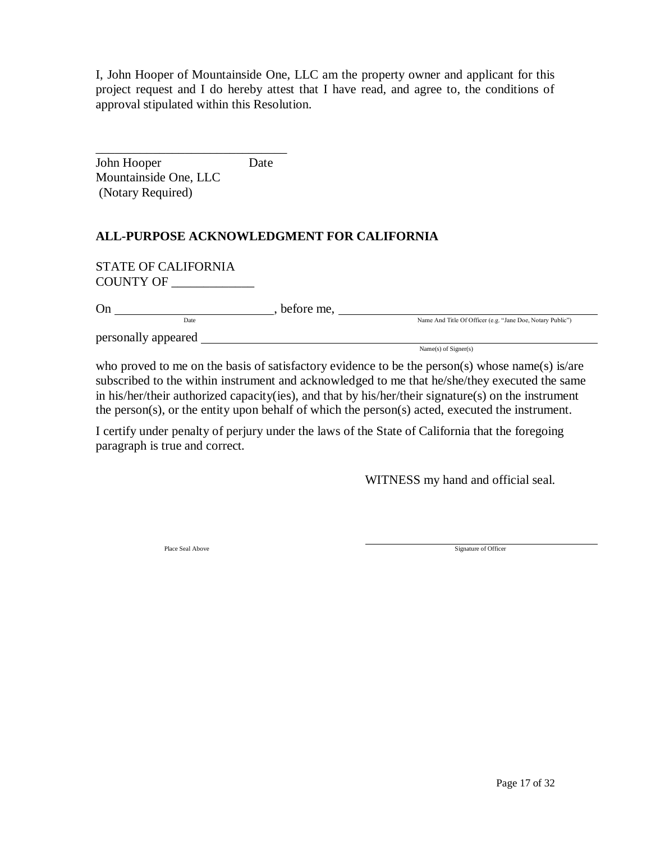I, John Hooper of Mountainside One, LLC am the property owner and applicant for this project request and I do hereby attest that I have read, and agree to, the conditions of approval stipulated within this Resolution.

\_\_\_\_\_\_\_\_\_\_\_\_\_\_\_\_\_\_\_\_\_\_\_\_\_\_\_\_\_\_ John Hooper Date Mountainside One, LLC (Notary Required)

# **ALL-PURPOSE ACKNOWLEDGMENT FOR CALIFORNIA**

STATE OF CALIFORNIA COUNTY OF

| On                  | before me. |                                                            |
|---------------------|------------|------------------------------------------------------------|
| Date                |            | Name And Title Of Officer (e.g. "Jane Doe, Notary Public") |
| personally appeared |            |                                                            |
|                     |            | Name(s) of $Signer(s)$                                     |

who proved to me on the basis of satisfactory evidence to be the person(s) whose name(s) is/are subscribed to the within instrument and acknowledged to me that he/she/they executed the same in his/her/their authorized capacity(ies), and that by his/her/their signature(s) on the instrument the person(s), or the entity upon behalf of which the person(s) acted, executed the instrument.

I certify under penalty of perjury under the laws of the State of California that the foregoing paragraph is true and correct.

WITNESS my hand and official seal.

Place Seal Above Signature of Officer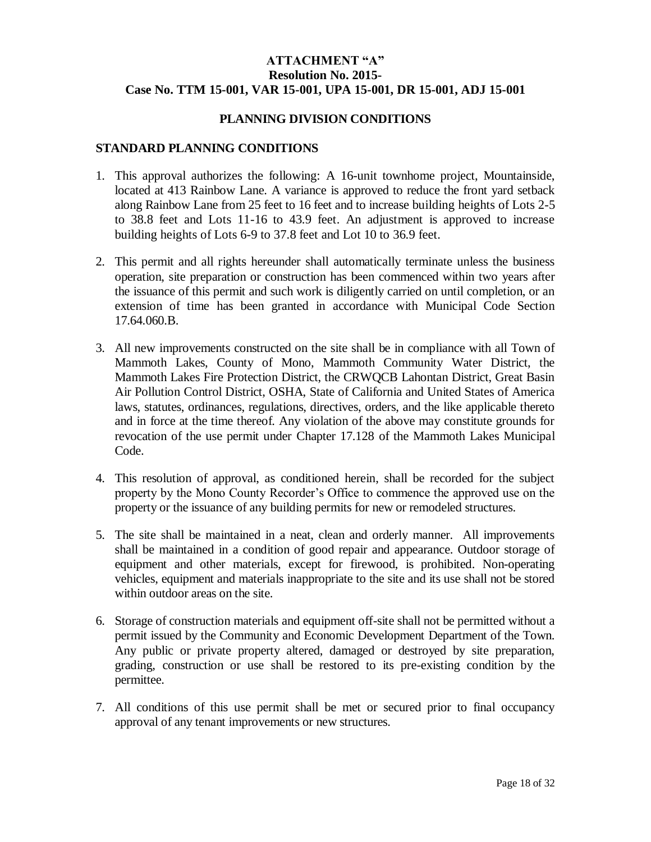# **ATTACHMENT "A" Resolution No. 2015- Case No. TTM 15-001, VAR 15-001, UPA 15-001, DR 15-001, ADJ 15-001**

#### **PLANNING DIVISION CONDITIONS**

#### **STANDARD PLANNING CONDITIONS**

- 1. This approval authorizes the following: A 16-unit townhome project, Mountainside, located at 413 Rainbow Lane. A variance is approved to reduce the front yard setback along Rainbow Lane from 25 feet to 16 feet and to increase building heights of Lots 2-5 to 38.8 feet and Lots 11-16 to 43.9 feet. An adjustment is approved to increase building heights of Lots 6-9 to 37.8 feet and Lot 10 to 36.9 feet.
- 2. This permit and all rights hereunder shall automatically terminate unless the business operation, site preparation or construction has been commenced within two years after the issuance of this permit and such work is diligently carried on until completion, or an extension of time has been granted in accordance with Municipal Code Section 17.64.060.B.
- 3. All new improvements constructed on the site shall be in compliance with all Town of Mammoth Lakes, County of Mono, Mammoth Community Water District, the Mammoth Lakes Fire Protection District, the CRWQCB Lahontan District, Great Basin Air Pollution Control District, OSHA, State of California and United States of America laws, statutes, ordinances, regulations, directives, orders, and the like applicable thereto and in force at the time thereof. Any violation of the above may constitute grounds for revocation of the use permit under Chapter 17.128 of the Mammoth Lakes Municipal Code.
- 4. This resolution of approval, as conditioned herein, shall be recorded for the subject property by the Mono County Recorder's Office to commence the approved use on the property or the issuance of any building permits for new or remodeled structures.
- 5. The site shall be maintained in a neat, clean and orderly manner. All improvements shall be maintained in a condition of good repair and appearance. Outdoor storage of equipment and other materials, except for firewood, is prohibited. Non-operating vehicles, equipment and materials inappropriate to the site and its use shall not be stored within outdoor areas on the site.
- 6. Storage of construction materials and equipment off-site shall not be permitted without a permit issued by the Community and Economic Development Department of the Town. Any public or private property altered, damaged or destroyed by site preparation, grading, construction or use shall be restored to its pre-existing condition by the permittee.
- 7. All conditions of this use permit shall be met or secured prior to final occupancy approval of any tenant improvements or new structures.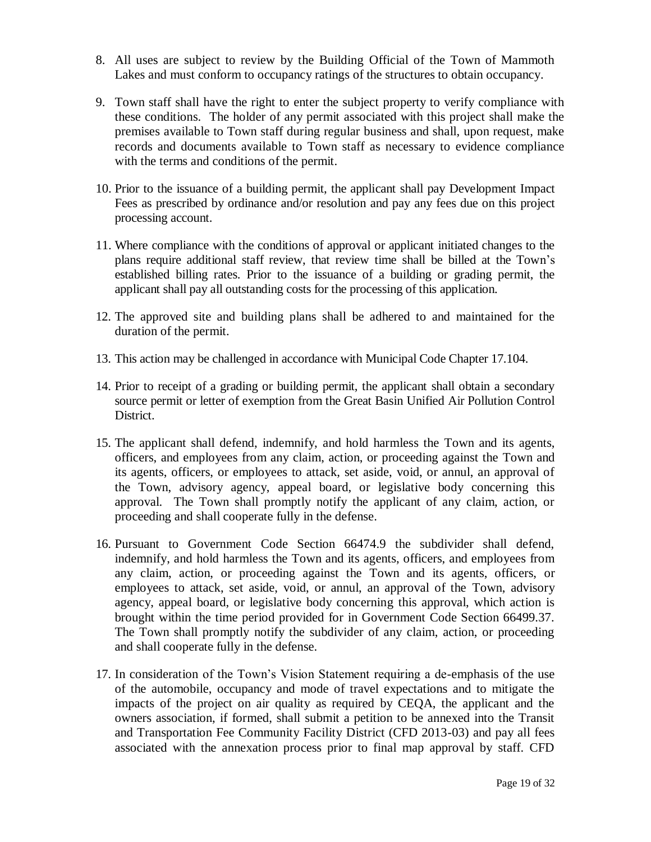- 8. All uses are subject to review by the Building Official of the Town of Mammoth Lakes and must conform to occupancy ratings of the structures to obtain occupancy.
- 9. Town staff shall have the right to enter the subject property to verify compliance with these conditions. The holder of any permit associated with this project shall make the premises available to Town staff during regular business and shall, upon request, make records and documents available to Town staff as necessary to evidence compliance with the terms and conditions of the permit.
- 10. Prior to the issuance of a building permit, the applicant shall pay Development Impact Fees as prescribed by ordinance and/or resolution and pay any fees due on this project processing account.
- 11. Where compliance with the conditions of approval or applicant initiated changes to the plans require additional staff review, that review time shall be billed at the Town's established billing rates. Prior to the issuance of a building or grading permit, the applicant shall pay all outstanding costs for the processing of this application.
- 12. The approved site and building plans shall be adhered to and maintained for the duration of the permit.
- 13. This action may be challenged in accordance with Municipal Code Chapter 17.104.
- 14. Prior to receipt of a grading or building permit, the applicant shall obtain a secondary source permit or letter of exemption from the Great Basin Unified Air Pollution Control District.
- 15. The applicant shall defend, indemnify, and hold harmless the Town and its agents, officers, and employees from any claim, action, or proceeding against the Town and its agents, officers, or employees to attack, set aside, void, or annul, an approval of the Town, advisory agency, appeal board, or legislative body concerning this approval. The Town shall promptly notify the applicant of any claim, action, or proceeding and shall cooperate fully in the defense.
- 16. Pursuant to Government Code Section 66474.9 the subdivider shall defend, indemnify, and hold harmless the Town and its agents, officers, and employees from any claim, action, or proceeding against the Town and its agents, officers, or employees to attack, set aside, void, or annul, an approval of the Town, advisory agency, appeal board, or legislative body concerning this approval, which action is brought within the time period provided for in Government Code Section 66499.37. The Town shall promptly notify the subdivider of any claim, action, or proceeding and shall cooperate fully in the defense.
- 17. In consideration of the Town's Vision Statement requiring a de-emphasis of the use of the automobile, occupancy and mode of travel expectations and to mitigate the impacts of the project on air quality as required by CEQA, the applicant and the owners association, if formed, shall submit a petition to be annexed into the Transit and Transportation Fee Community Facility District (CFD 2013-03) and pay all fees associated with the annexation process prior to final map approval by staff. CFD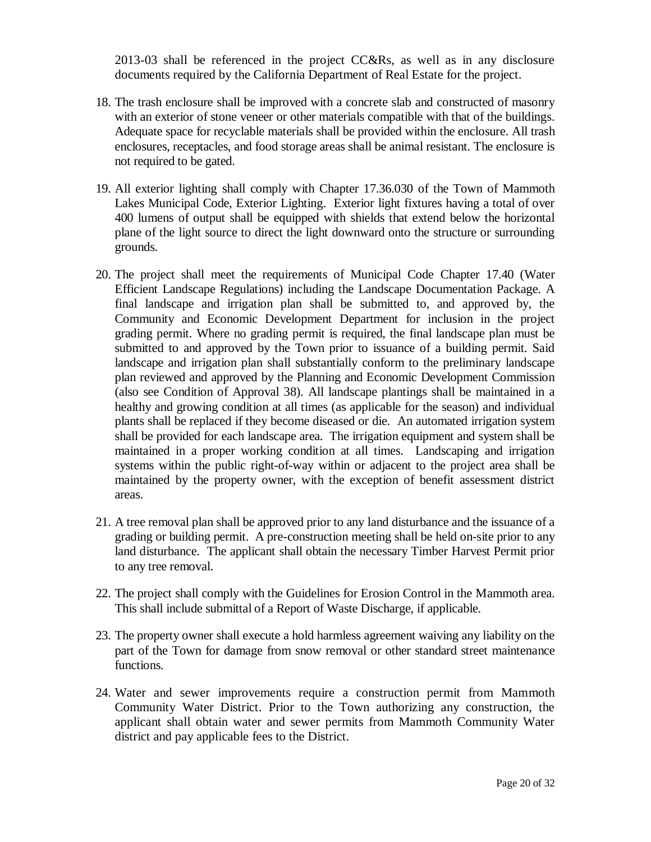2013-03 shall be referenced in the project CC&Rs, as well as in any disclosure documents required by the California Department of Real Estate for the project.

- 18. The trash enclosure shall be improved with a concrete slab and constructed of masonry with an exterior of stone veneer or other materials compatible with that of the buildings. Adequate space for recyclable materials shall be provided within the enclosure. All trash enclosures, receptacles, and food storage areas shall be animal resistant. The enclosure is not required to be gated.
- 19. All exterior lighting shall comply with Chapter 17.36.030 of the Town of Mammoth Lakes Municipal Code, Exterior Lighting. Exterior light fixtures having a total of over 400 lumens of output shall be equipped with shields that extend below the horizontal plane of the light source to direct the light downward onto the structure or surrounding grounds.
- 20. The project shall meet the requirements of Municipal Code Chapter 17.40 (Water Efficient Landscape Regulations) including the Landscape Documentation Package. A final landscape and irrigation plan shall be submitted to, and approved by, the Community and Economic Development Department for inclusion in the project grading permit. Where no grading permit is required, the final landscape plan must be submitted to and approved by the Town prior to issuance of a building permit. Said landscape and irrigation plan shall substantially conform to the preliminary landscape plan reviewed and approved by the Planning and Economic Development Commission (also see Condition of Approval 38). All landscape plantings shall be maintained in a healthy and growing condition at all times (as applicable for the season) and individual plants shall be replaced if they become diseased or die. An automated irrigation system shall be provided for each landscape area. The irrigation equipment and system shall be maintained in a proper working condition at all times. Landscaping and irrigation systems within the public right-of-way within or adjacent to the project area shall be maintained by the property owner, with the exception of benefit assessment district areas.
- 21. A tree removal plan shall be approved prior to any land disturbance and the issuance of a grading or building permit. A pre-construction meeting shall be held on-site prior to any land disturbance. The applicant shall obtain the necessary Timber Harvest Permit prior to any tree removal.
- 22. The project shall comply with the Guidelines for Erosion Control in the Mammoth area. This shall include submittal of a Report of Waste Discharge, if applicable.
- 23. The property owner shall execute a hold harmless agreement waiving any liability on the part of the Town for damage from snow removal or other standard street maintenance functions.
- 24. Water and sewer improvements require a construction permit from Mammoth Community Water District. Prior to the Town authorizing any construction, the applicant shall obtain water and sewer permits from Mammoth Community Water district and pay applicable fees to the District.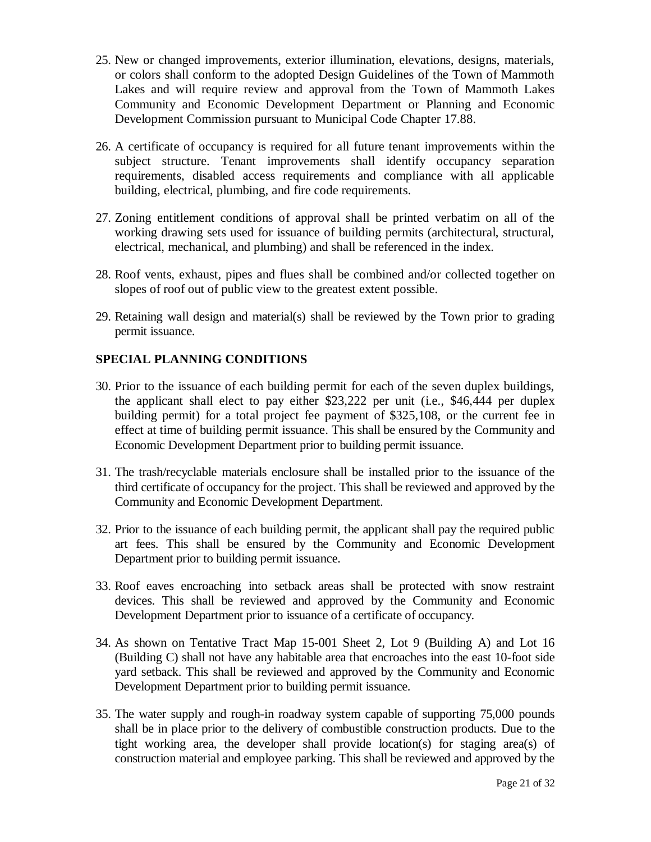- 25. New or changed improvements, exterior illumination, elevations, designs, materials, or colors shall conform to the adopted Design Guidelines of the Town of Mammoth Lakes and will require review and approval from the Town of Mammoth Lakes Community and Economic Development Department or Planning and Economic Development Commission pursuant to Municipal Code Chapter 17.88.
- 26. A certificate of occupancy is required for all future tenant improvements within the subject structure. Tenant improvements shall identify occupancy separation requirements, disabled access requirements and compliance with all applicable building, electrical, plumbing, and fire code requirements.
- 27. Zoning entitlement conditions of approval shall be printed verbatim on all of the working drawing sets used for issuance of building permits (architectural, structural, electrical, mechanical, and plumbing) and shall be referenced in the index.
- 28. Roof vents, exhaust, pipes and flues shall be combined and/or collected together on slopes of roof out of public view to the greatest extent possible.
- 29. Retaining wall design and material(s) shall be reviewed by the Town prior to grading permit issuance.

## **SPECIAL PLANNING CONDITIONS**

- 30. Prior to the issuance of each building permit for each of the seven duplex buildings, the applicant shall elect to pay either \$23,222 per unit (i.e., \$46,444 per duplex building permit) for a total project fee payment of \$325,108, or the current fee in effect at time of building permit issuance. This shall be ensured by the Community and Economic Development Department prior to building permit issuance.
- 31. The trash/recyclable materials enclosure shall be installed prior to the issuance of the third certificate of occupancy for the project. This shall be reviewed and approved by the Community and Economic Development Department.
- 32. Prior to the issuance of each building permit, the applicant shall pay the required public art fees. This shall be ensured by the Community and Economic Development Department prior to building permit issuance.
- 33. Roof eaves encroaching into setback areas shall be protected with snow restraint devices. This shall be reviewed and approved by the Community and Economic Development Department prior to issuance of a certificate of occupancy.
- 34. As shown on Tentative Tract Map 15-001 Sheet 2, Lot 9 (Building A) and Lot 16 (Building C) shall not have any habitable area that encroaches into the east 10-foot side yard setback. This shall be reviewed and approved by the Community and Economic Development Department prior to building permit issuance.
- 35. The water supply and rough-in roadway system capable of supporting 75,000 pounds shall be in place prior to the delivery of combustible construction products. Due to the tight working area, the developer shall provide location(s) for staging area(s) of construction material and employee parking. This shall be reviewed and approved by the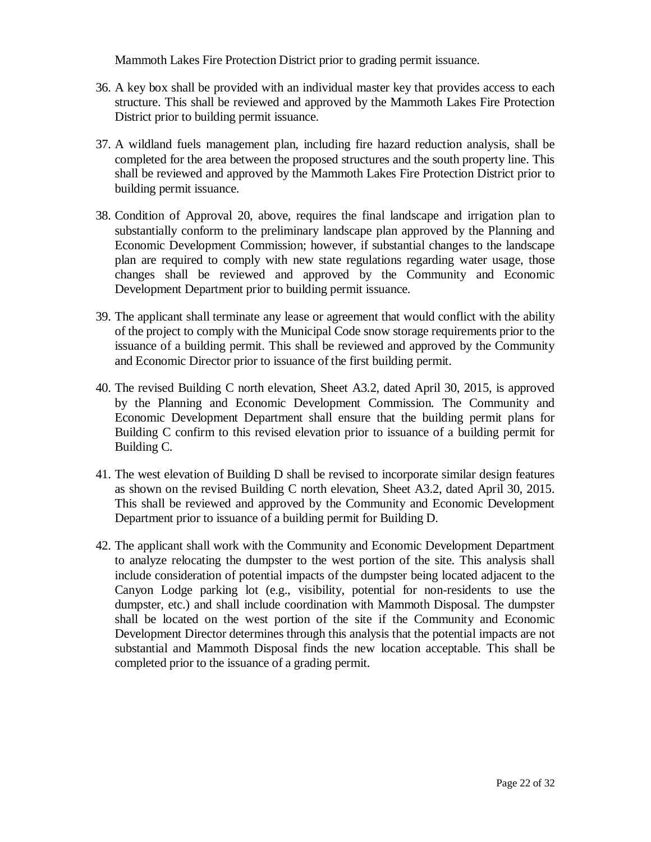Mammoth Lakes Fire Protection District prior to grading permit issuance.

- 36. A key box shall be provided with an individual master key that provides access to each structure. This shall be reviewed and approved by the Mammoth Lakes Fire Protection District prior to building permit issuance.
- 37. A wildland fuels management plan, including fire hazard reduction analysis, shall be completed for the area between the proposed structures and the south property line. This shall be reviewed and approved by the Mammoth Lakes Fire Protection District prior to building permit issuance.
- 38. Condition of Approval 20, above, requires the final landscape and irrigation plan to substantially conform to the preliminary landscape plan approved by the Planning and Economic Development Commission; however, if substantial changes to the landscape plan are required to comply with new state regulations regarding water usage, those changes shall be reviewed and approved by the Community and Economic Development Department prior to building permit issuance.
- 39. The applicant shall terminate any lease or agreement that would conflict with the ability of the project to comply with the Municipal Code snow storage requirements prior to the issuance of a building permit. This shall be reviewed and approved by the Community and Economic Director prior to issuance of the first building permit.
- 40. The revised Building C north elevation, Sheet A3.2, dated April 30, 2015, is approved by the Planning and Economic Development Commission. The Community and Economic Development Department shall ensure that the building permit plans for Building C confirm to this revised elevation prior to issuance of a building permit for Building C.
- 41. The west elevation of Building D shall be revised to incorporate similar design features as shown on the revised Building C north elevation, Sheet A3.2, dated April 30, 2015. This shall be reviewed and approved by the Community and Economic Development Department prior to issuance of a building permit for Building D.
- 42. The applicant shall work with the Community and Economic Development Department to analyze relocating the dumpster to the west portion of the site. This analysis shall include consideration of potential impacts of the dumpster being located adjacent to the Canyon Lodge parking lot (e.g., visibility, potential for non-residents to use the dumpster, etc.) and shall include coordination with Mammoth Disposal. The dumpster shall be located on the west portion of the site if the Community and Economic Development Director determines through this analysis that the potential impacts are not substantial and Mammoth Disposal finds the new location acceptable. This shall be completed prior to the issuance of a grading permit.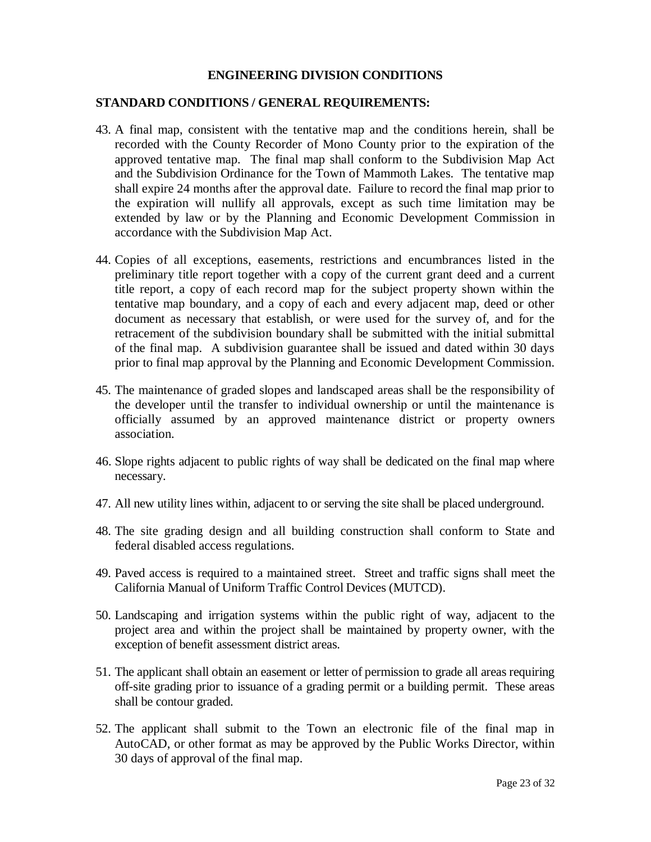#### **ENGINEERING DIVISION CONDITIONS**

## **STANDARD CONDITIONS / GENERAL REQUIREMENTS:**

- 43. A final map, consistent with the tentative map and the conditions herein, shall be recorded with the County Recorder of Mono County prior to the expiration of the approved tentative map. The final map shall conform to the Subdivision Map Act and the Subdivision Ordinance for the Town of Mammoth Lakes. The tentative map shall expire 24 months after the approval date. Failure to record the final map prior to the expiration will nullify all approvals, except as such time limitation may be extended by law or by the Planning and Economic Development Commission in accordance with the Subdivision Map Act.
- 44. Copies of all exceptions, easements, restrictions and encumbrances listed in the preliminary title report together with a copy of the current grant deed and a current title report, a copy of each record map for the subject property shown within the tentative map boundary, and a copy of each and every adjacent map, deed or other document as necessary that establish, or were used for the survey of, and for the retracement of the subdivision boundary shall be submitted with the initial submittal of the final map. A subdivision guarantee shall be issued and dated within 30 days prior to final map approval by the Planning and Economic Development Commission.
- 45. The maintenance of graded slopes and landscaped areas shall be the responsibility of the developer until the transfer to individual ownership or until the maintenance is officially assumed by an approved maintenance district or property owners association.
- 46. Slope rights adjacent to public rights of way shall be dedicated on the final map where necessary.
- 47. All new utility lines within, adjacent to or serving the site shall be placed underground.
- 48. The site grading design and all building construction shall conform to State and federal disabled access regulations.
- 49. Paved access is required to a maintained street. Street and traffic signs shall meet the California Manual of Uniform Traffic Control Devices (MUTCD).
- 50. Landscaping and irrigation systems within the public right of way, adjacent to the project area and within the project shall be maintained by property owner, with the exception of benefit assessment district areas.
- 51. The applicant shall obtain an easement or letter of permission to grade all areas requiring off-site grading prior to issuance of a grading permit or a building permit. These areas shall be contour graded.
- 52. The applicant shall submit to the Town an electronic file of the final map in AutoCAD, or other format as may be approved by the Public Works Director, within 30 days of approval of the final map.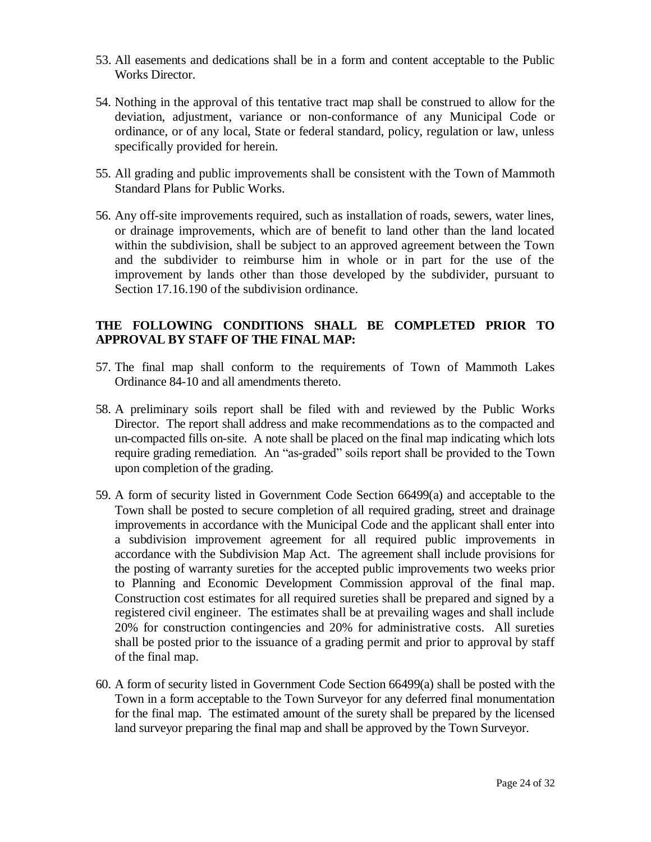- 53. All easements and dedications shall be in a form and content acceptable to the Public Works Director.
- 54. Nothing in the approval of this tentative tract map shall be construed to allow for the deviation, adjustment, variance or non-conformance of any Municipal Code or ordinance, or of any local, State or federal standard, policy, regulation or law, unless specifically provided for herein.
- 55. All grading and public improvements shall be consistent with the Town of Mammoth Standard Plans for Public Works.
- 56. Any off-site improvements required, such as installation of roads, sewers, water lines, or drainage improvements, which are of benefit to land other than the land located within the subdivision, shall be subject to an approved agreement between the Town and the subdivider to reimburse him in whole or in part for the use of the improvement by lands other than those developed by the subdivider, pursuant to Section 17.16.190 of the subdivision ordinance.

# **THE FOLLOWING CONDITIONS SHALL BE COMPLETED PRIOR TO APPROVAL BY STAFF OF THE FINAL MAP:**

- 57. The final map shall conform to the requirements of Town of Mammoth Lakes Ordinance 84-10 and all amendments thereto.
- 58. A preliminary soils report shall be filed with and reviewed by the Public Works Director. The report shall address and make recommendations as to the compacted and un-compacted fills on-site. A note shall be placed on the final map indicating which lots require grading remediation. An "as-graded" soils report shall be provided to the Town upon completion of the grading.
- 59. A form of security listed in Government Code Section 66499(a) and acceptable to the Town shall be posted to secure completion of all required grading, street and drainage improvements in accordance with the Municipal Code and the applicant shall enter into a subdivision improvement agreement for all required public improvements in accordance with the Subdivision Map Act. The agreement shall include provisions for the posting of warranty sureties for the accepted public improvements two weeks prior to Planning and Economic Development Commission approval of the final map. Construction cost estimates for all required sureties shall be prepared and signed by a registered civil engineer. The estimates shall be at prevailing wages and shall include 20% for construction contingencies and 20% for administrative costs. All sureties shall be posted prior to the issuance of a grading permit and prior to approval by staff of the final map.
- 60. A form of security listed in Government Code Section 66499(a) shall be posted with the Town in a form acceptable to the Town Surveyor for any deferred final monumentation for the final map. The estimated amount of the surety shall be prepared by the licensed land surveyor preparing the final map and shall be approved by the Town Surveyor.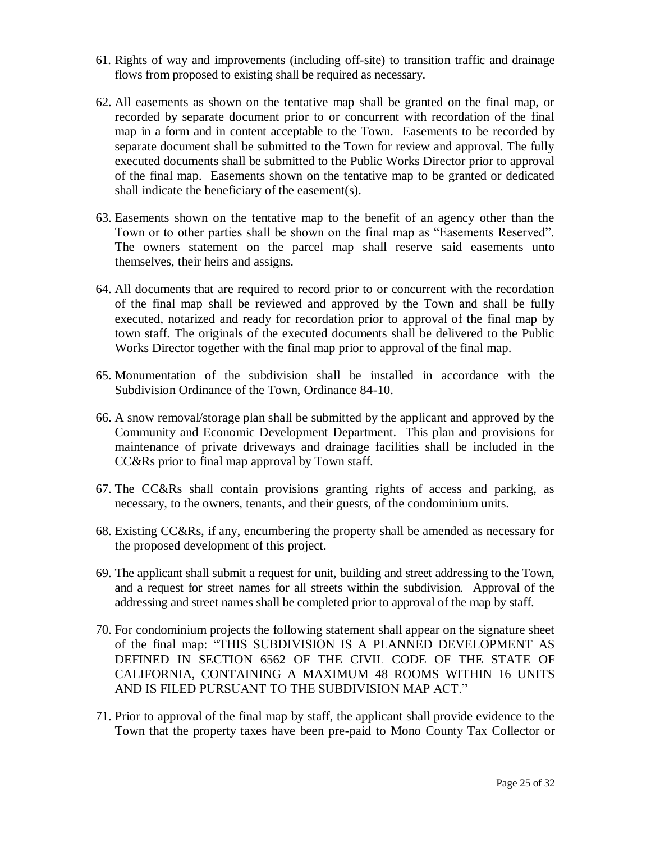- 61. Rights of way and improvements (including off-site) to transition traffic and drainage flows from proposed to existing shall be required as necessary.
- 62. All easements as shown on the tentative map shall be granted on the final map, or recorded by separate document prior to or concurrent with recordation of the final map in a form and in content acceptable to the Town. Easements to be recorded by separate document shall be submitted to the Town for review and approval. The fully executed documents shall be submitted to the Public Works Director prior to approval of the final map. Easements shown on the tentative map to be granted or dedicated shall indicate the beneficiary of the easement(s).
- 63. Easements shown on the tentative map to the benefit of an agency other than the Town or to other parties shall be shown on the final map as "Easements Reserved". The owners statement on the parcel map shall reserve said easements unto themselves, their heirs and assigns.
- 64. All documents that are required to record prior to or concurrent with the recordation of the final map shall be reviewed and approved by the Town and shall be fully executed, notarized and ready for recordation prior to approval of the final map by town staff. The originals of the executed documents shall be delivered to the Public Works Director together with the final map prior to approval of the final map.
- 65. Monumentation of the subdivision shall be installed in accordance with the Subdivision Ordinance of the Town, Ordinance 84-10.
- 66. A snow removal/storage plan shall be submitted by the applicant and approved by the Community and Economic Development Department. This plan and provisions for maintenance of private driveways and drainage facilities shall be included in the CC&Rs prior to final map approval by Town staff.
- 67. The CC&Rs shall contain provisions granting rights of access and parking, as necessary, to the owners, tenants, and their guests, of the condominium units.
- 68. Existing CC&Rs, if any, encumbering the property shall be amended as necessary for the proposed development of this project.
- 69. The applicant shall submit a request for unit, building and street addressing to the Town, and a request for street names for all streets within the subdivision. Approval of the addressing and street names shall be completed prior to approval of the map by staff.
- 70. For condominium projects the following statement shall appear on the signature sheet of the final map: "THIS SUBDIVISION IS A PLANNED DEVELOPMENT AS DEFINED IN SECTION 6562 OF THE CIVIL CODE OF THE STATE OF CALIFORNIA, CONTAINING A MAXIMUM 48 ROOMS WITHIN 16 UNITS AND IS FILED PURSUANT TO THE SUBDIVISION MAP ACT."
- 71. Prior to approval of the final map by staff, the applicant shall provide evidence to the Town that the property taxes have been pre-paid to Mono County Tax Collector or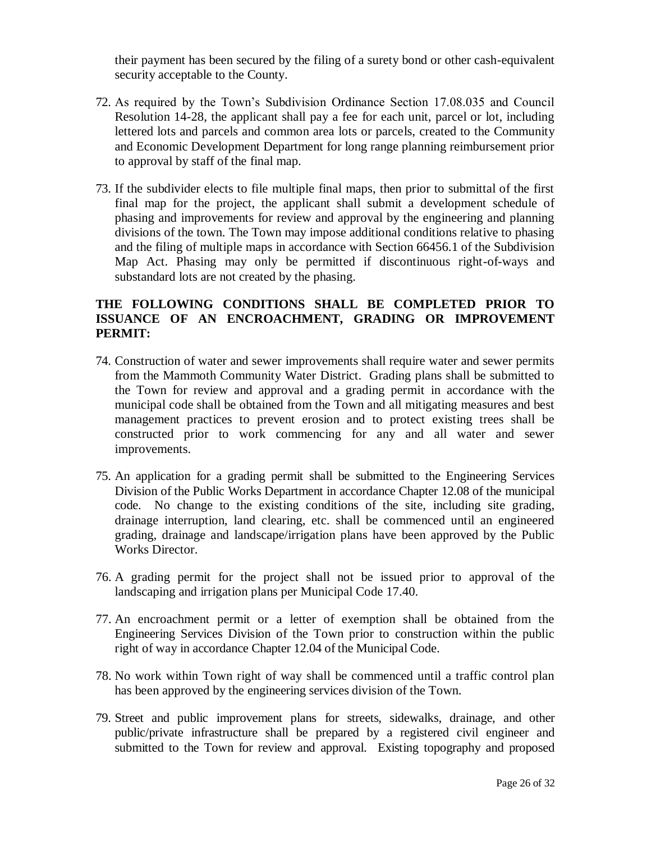their payment has been secured by the filing of a surety bond or other cash-equivalent security acceptable to the County.

- 72. As required by the Town's Subdivision Ordinance Section 17.08.035 and Council Resolution 14-28, the applicant shall pay a fee for each unit, parcel or lot, including lettered lots and parcels and common area lots or parcels, created to the Community and Economic Development Department for long range planning reimbursement prior to approval by staff of the final map.
- 73. If the subdivider elects to file multiple final maps, then prior to submittal of the first final map for the project, the applicant shall submit a development schedule of phasing and improvements for review and approval by the engineering and planning divisions of the town. The Town may impose additional conditions relative to phasing and the filing of multiple maps in accordance with Section 66456.1 of the Subdivision Map Act. Phasing may only be permitted if discontinuous right-of-ways and substandard lots are not created by the phasing.

## **THE FOLLOWING CONDITIONS SHALL BE COMPLETED PRIOR TO ISSUANCE OF AN ENCROACHMENT, GRADING OR IMPROVEMENT PERMIT:**

- 74. Construction of water and sewer improvements shall require water and sewer permits from the Mammoth Community Water District. Grading plans shall be submitted to the Town for review and approval and a grading permit in accordance with the municipal code shall be obtained from the Town and all mitigating measures and best management practices to prevent erosion and to protect existing trees shall be constructed prior to work commencing for any and all water and sewer improvements.
- 75. An application for a grading permit shall be submitted to the Engineering Services Division of the Public Works Department in accordance Chapter 12.08 of the municipal code. No change to the existing conditions of the site, including site grading, drainage interruption, land clearing, etc. shall be commenced until an engineered grading, drainage and landscape/irrigation plans have been approved by the Public Works Director.
- 76. A grading permit for the project shall not be issued prior to approval of the landscaping and irrigation plans per Municipal Code 17.40.
- 77. An encroachment permit or a letter of exemption shall be obtained from the Engineering Services Division of the Town prior to construction within the public right of way in accordance Chapter 12.04 of the Municipal Code.
- 78. No work within Town right of way shall be commenced until a traffic control plan has been approved by the engineering services division of the Town.
- 79. Street and public improvement plans for streets, sidewalks, drainage, and other public/private infrastructure shall be prepared by a registered civil engineer and submitted to the Town for review and approval. Existing topography and proposed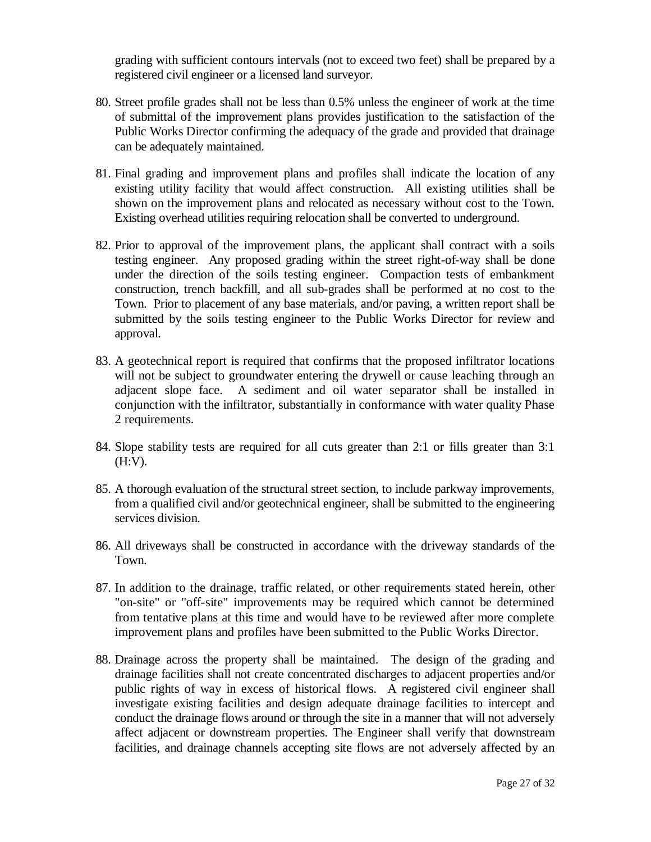grading with sufficient contours intervals (not to exceed two feet) shall be prepared by a registered civil engineer or a licensed land surveyor.

- 80. Street profile grades shall not be less than 0.5% unless the engineer of work at the time of submittal of the improvement plans provides justification to the satisfaction of the Public Works Director confirming the adequacy of the grade and provided that drainage can be adequately maintained.
- 81. Final grading and improvement plans and profiles shall indicate the location of any existing utility facility that would affect construction. All existing utilities shall be shown on the improvement plans and relocated as necessary without cost to the Town. Existing overhead utilities requiring relocation shall be converted to underground.
- 82. Prior to approval of the improvement plans, the applicant shall contract with a soils testing engineer. Any proposed grading within the street right-of-way shall be done under the direction of the soils testing engineer. Compaction tests of embankment construction, trench backfill, and all sub-grades shall be performed at no cost to the Town. Prior to placement of any base materials, and/or paving, a written report shall be submitted by the soils testing engineer to the Public Works Director for review and approval.
- 83. A geotechnical report is required that confirms that the proposed infiltrator locations will not be subject to groundwater entering the drywell or cause leaching through an adjacent slope face. A sediment and oil water separator shall be installed in conjunction with the infiltrator, substantially in conformance with water quality Phase 2 requirements.
- 84. Slope stability tests are required for all cuts greater than 2:1 or fills greater than 3:1 (H:V).
- 85. A thorough evaluation of the structural street section, to include parkway improvements, from a qualified civil and/or geotechnical engineer, shall be submitted to the engineering services division.
- 86. All driveways shall be constructed in accordance with the driveway standards of the Town.
- 87. In addition to the drainage, traffic related, or other requirements stated herein, other "on-site" or "off-site" improvements may be required which cannot be determined from tentative plans at this time and would have to be reviewed after more complete improvement plans and profiles have been submitted to the Public Works Director.
- 88. Drainage across the property shall be maintained. The design of the grading and drainage facilities shall not create concentrated discharges to adjacent properties and/or public rights of way in excess of historical flows. A registered civil engineer shall investigate existing facilities and design adequate drainage facilities to intercept and conduct the drainage flows around or through the site in a manner that will not adversely affect adjacent or downstream properties. The Engineer shall verify that downstream facilities, and drainage channels accepting site flows are not adversely affected by an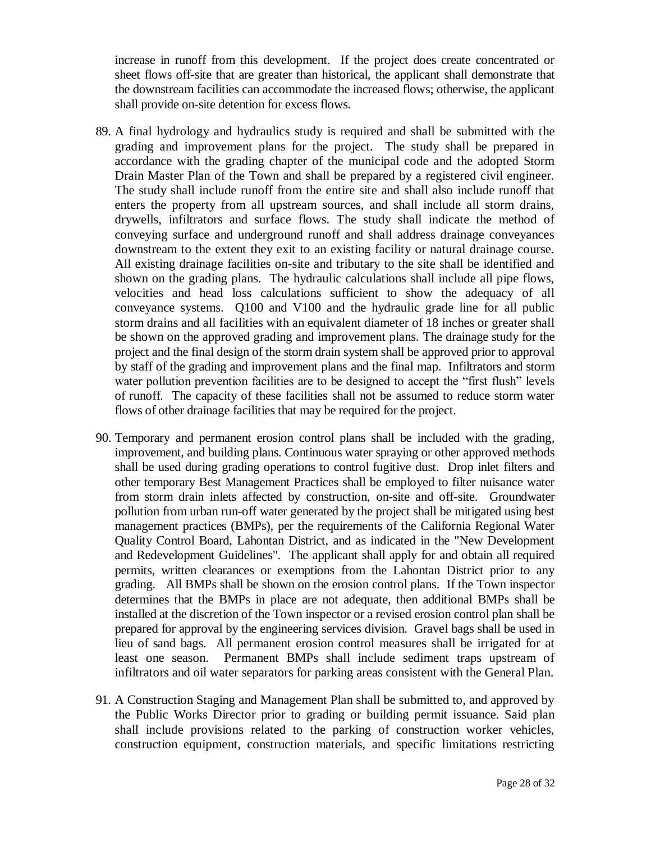increase in runoff from this development. If the project does create concentrated or sheet flows off-site that are greater than historical, the applicant shall demonstrate that the downstream facilities can accommodate the increased flows; otherwise, the applicant shall provide on-site detention for excess flows.

- 89. A final hydrology and hydraulics study is required and shall be submitted with the grading and improvement plans for the project. The study shall be prepared in accordance with the grading chapter of the municipal code and the adopted Storm Drain Master Plan of the Town and shall be prepared by a registered civil engineer. The study shall include runoff from the entire site and shall also include runoff that enters the property from all upstream sources, and shall include all storm drains, drywells, infiltrators and surface flows. The study shall indicate the method of conveying surface and underground runoff and shall address drainage conveyances downstream to the extent they exit to an existing facility or natural drainage course. All existing drainage facilities on-site and tributary to the site shall be identified and shown on the grading plans. The hydraulic calculations shall include all pipe flows, velocities and head loss calculations sufficient to show the adequacy of all conveyance systems. Q100 and V100 and the hydraulic grade line for all public storm drains and all facilities with an equivalent diameter of 18 inches or greater shall be shown on the approved grading and improvement plans. The drainage study for the project and the final design of the storm drain system shall be approved prior to approval by staff of the grading and improvement plans and the final map. Infiltrators and storm water pollution prevention facilities are to be designed to accept the "first flush" levels of runoff. The capacity of these facilities shall not be assumed to reduce storm water flows of other drainage facilities that may be required for the project.
- 90. Temporary and permanent erosion control plans shall be included with the grading, improvement, and building plans. Continuous water spraying or other approved methods shall be used during grading operations to control fugitive dust. Drop inlet filters and other temporary Best Management Practices shall be employed to filter nuisance water from storm drain inlets affected by construction, on-site and off-site. Groundwater pollution from urban run-off water generated by the project shall be mitigated using best management practices (BMPs), per the requirements of the California Regional Water Quality Control Board, Lahontan District, and as indicated in the "New Development and Redevelopment Guidelines". The applicant shall apply for and obtain all required permits, written clearances or exemptions from the Lahontan District prior to any grading. All BMPs shall be shown on the erosion control plans. If the Town inspector determines that the BMPs in place are not adequate, then additional BMPs shall be installed at the discretion of the Town inspector or a revised erosion control plan shall be prepared for approval by the engineering services division. Gravel bags shall be used in lieu of sand bags. All permanent erosion control measures shall be irrigated for at least one season. Permanent BMPs shall include sediment traps upstream of infiltrators and oil water separators for parking areas consistent with the General Plan.
- 91. A Construction Staging and Management Plan shall be submitted to, and approved by the Public Works Director prior to grading or building permit issuance. Said plan shall include provisions related to the parking of construction worker vehicles, construction equipment, construction materials, and specific limitations restricting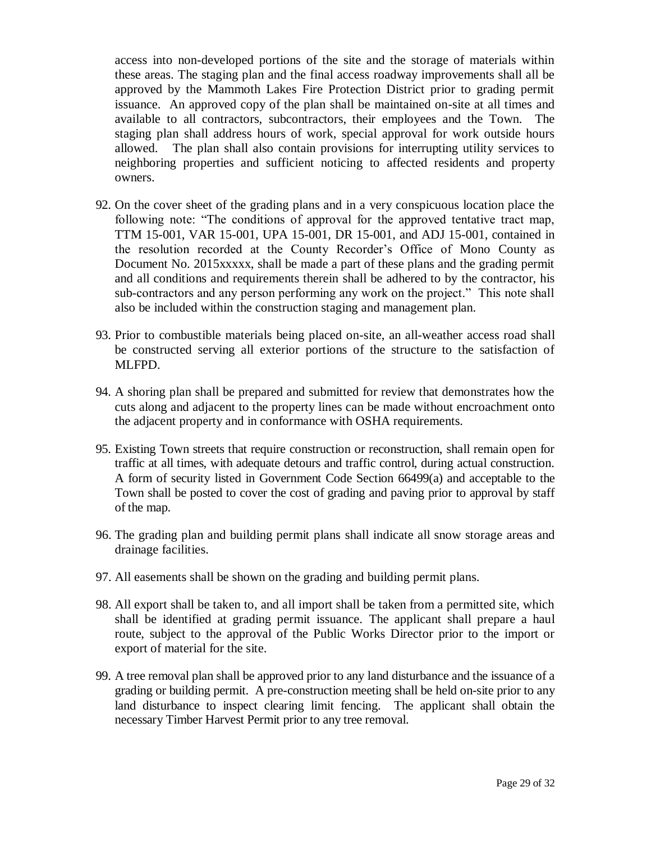access into non-developed portions of the site and the storage of materials within these areas. The staging plan and the final access roadway improvements shall all be approved by the Mammoth Lakes Fire Protection District prior to grading permit issuance. An approved copy of the plan shall be maintained on-site at all times and available to all contractors, subcontractors, their employees and the Town. The staging plan shall address hours of work, special approval for work outside hours allowed. The plan shall also contain provisions for interrupting utility services to neighboring properties and sufficient noticing to affected residents and property owners.

- 92. On the cover sheet of the grading plans and in a very conspicuous location place the following note: "The conditions of approval for the approved tentative tract map, TTM 15-001, VAR 15-001, UPA 15-001, DR 15-001, and ADJ 15-001, contained in the resolution recorded at the County Recorder's Office of Mono County as Document No. 2015xxxxx, shall be made a part of these plans and the grading permit and all conditions and requirements therein shall be adhered to by the contractor, his sub-contractors and any person performing any work on the project." This note shall also be included within the construction staging and management plan.
- 93. Prior to combustible materials being placed on-site, an all-weather access road shall be constructed serving all exterior portions of the structure to the satisfaction of MLFPD.
- 94. A shoring plan shall be prepared and submitted for review that demonstrates how the cuts along and adjacent to the property lines can be made without encroachment onto the adjacent property and in conformance with OSHA requirements.
- 95. Existing Town streets that require construction or reconstruction, shall remain open for traffic at all times, with adequate detours and traffic control, during actual construction. A form of security listed in Government Code Section 66499(a) and acceptable to the Town shall be posted to cover the cost of grading and paving prior to approval by staff of the map.
- 96. The grading plan and building permit plans shall indicate all snow storage areas and drainage facilities.
- 97. All easements shall be shown on the grading and building permit plans.
- 98. All export shall be taken to, and all import shall be taken from a permitted site, which shall be identified at grading permit issuance. The applicant shall prepare a haul route, subject to the approval of the Public Works Director prior to the import or export of material for the site.
- 99. A tree removal plan shall be approved prior to any land disturbance and the issuance of a grading or building permit. A pre-construction meeting shall be held on-site prior to any land disturbance to inspect clearing limit fencing. The applicant shall obtain the necessary Timber Harvest Permit prior to any tree removal.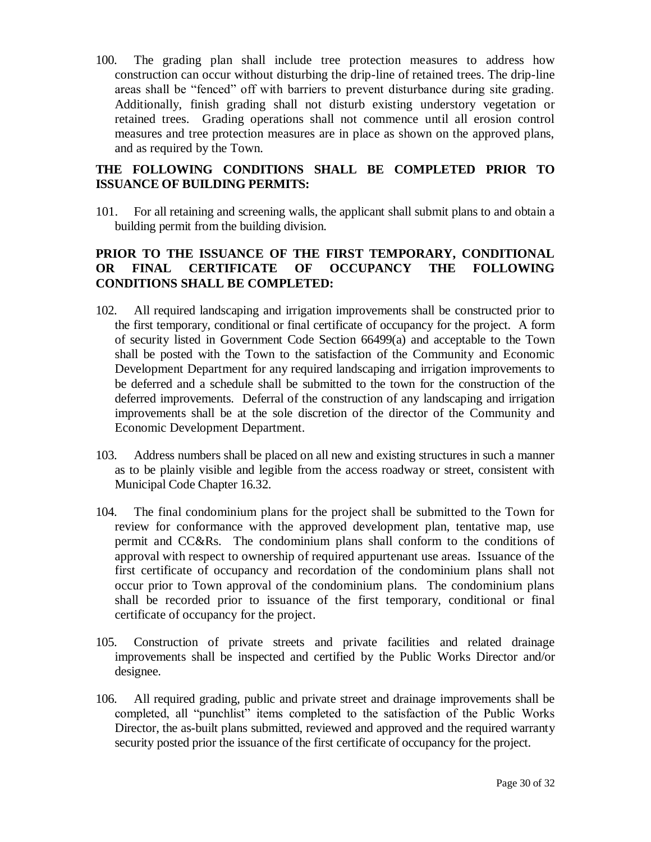100. The grading plan shall include tree protection measures to address how construction can occur without disturbing the drip-line of retained trees. The drip-line areas shall be "fenced" off with barriers to prevent disturbance during site grading. Additionally, finish grading shall not disturb existing understory vegetation or retained trees. Grading operations shall not commence until all erosion control measures and tree protection measures are in place as shown on the approved plans, and as required by the Town.

## **THE FOLLOWING CONDITIONS SHALL BE COMPLETED PRIOR TO ISSUANCE OF BUILDING PERMITS:**

101. For all retaining and screening walls, the applicant shall submit plans to and obtain a building permit from the building division.

# **PRIOR TO THE ISSUANCE OF THE FIRST TEMPORARY, CONDITIONAL OR FINAL CERTIFICATE OF OCCUPANCY THE FOLLOWING CONDITIONS SHALL BE COMPLETED:**

- 102. All required landscaping and irrigation improvements shall be constructed prior to the first temporary, conditional or final certificate of occupancy for the project. A form of security listed in Government Code Section 66499(a) and acceptable to the Town shall be posted with the Town to the satisfaction of the Community and Economic Development Department for any required landscaping and irrigation improvements to be deferred and a schedule shall be submitted to the town for the construction of the deferred improvements. Deferral of the construction of any landscaping and irrigation improvements shall be at the sole discretion of the director of the Community and Economic Development Department.
- 103. Address numbers shall be placed on all new and existing structures in such a manner as to be plainly visible and legible from the access roadway or street, consistent with Municipal Code Chapter 16.32.
- 104. The final condominium plans for the project shall be submitted to the Town for review for conformance with the approved development plan, tentative map, use permit and CC&Rs. The condominium plans shall conform to the conditions of approval with respect to ownership of required appurtenant use areas. Issuance of the first certificate of occupancy and recordation of the condominium plans shall not occur prior to Town approval of the condominium plans. The condominium plans shall be recorded prior to issuance of the first temporary, conditional or final certificate of occupancy for the project.
- 105. Construction of private streets and private facilities and related drainage improvements shall be inspected and certified by the Public Works Director and/or designee.
- 106. All required grading, public and private street and drainage improvements shall be completed, all "punchlist" items completed to the satisfaction of the Public Works Director, the as-built plans submitted, reviewed and approved and the required warranty security posted prior the issuance of the first certificate of occupancy for the project.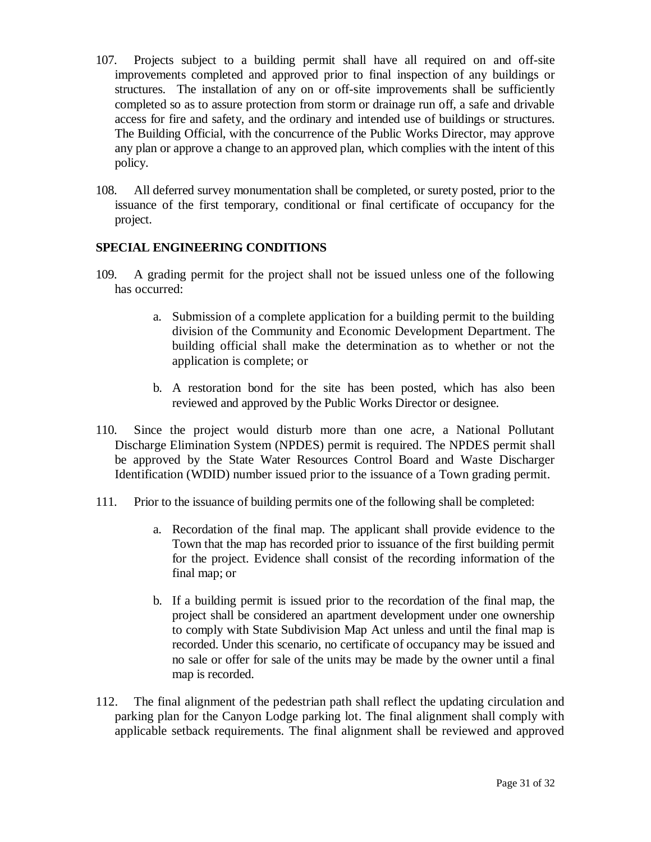- 107. Projects subject to a building permit shall have all required on and off-site improvements completed and approved prior to final inspection of any buildings or structures. The installation of any on or off-site improvements shall be sufficiently completed so as to assure protection from storm or drainage run off, a safe and drivable access for fire and safety, and the ordinary and intended use of buildings or structures. The Building Official, with the concurrence of the Public Works Director, may approve any plan or approve a change to an approved plan, which complies with the intent of this policy.
- 108. All deferred survey monumentation shall be completed, or surety posted, prior to the issuance of the first temporary, conditional or final certificate of occupancy for the project.

## **SPECIAL ENGINEERING CONDITIONS**

- 109. A grading permit for the project shall not be issued unless one of the following has occurred:
	- a. Submission of a complete application for a building permit to the building division of the Community and Economic Development Department. The building official shall make the determination as to whether or not the application is complete; or
	- b. A restoration bond for the site has been posted, which has also been reviewed and approved by the Public Works Director or designee.
- 110. Since the project would disturb more than one acre, a National Pollutant Discharge Elimination System (NPDES) permit is required. The NPDES permit shall be approved by the State Water Resources Control Board and Waste Discharger Identification (WDID) number issued prior to the issuance of a Town grading permit.
- 111. Prior to the issuance of building permits one of the following shall be completed:
	- a. Recordation of the final map. The applicant shall provide evidence to the Town that the map has recorded prior to issuance of the first building permit for the project. Evidence shall consist of the recording information of the final map; or
	- b. If a building permit is issued prior to the recordation of the final map, the project shall be considered an apartment development under one ownership to comply with State Subdivision Map Act unless and until the final map is recorded. Under this scenario, no certificate of occupancy may be issued and no sale or offer for sale of the units may be made by the owner until a final map is recorded.
- 112. The final alignment of the pedestrian path shall reflect the updating circulation and parking plan for the Canyon Lodge parking lot. The final alignment shall comply with applicable setback requirements. The final alignment shall be reviewed and approved